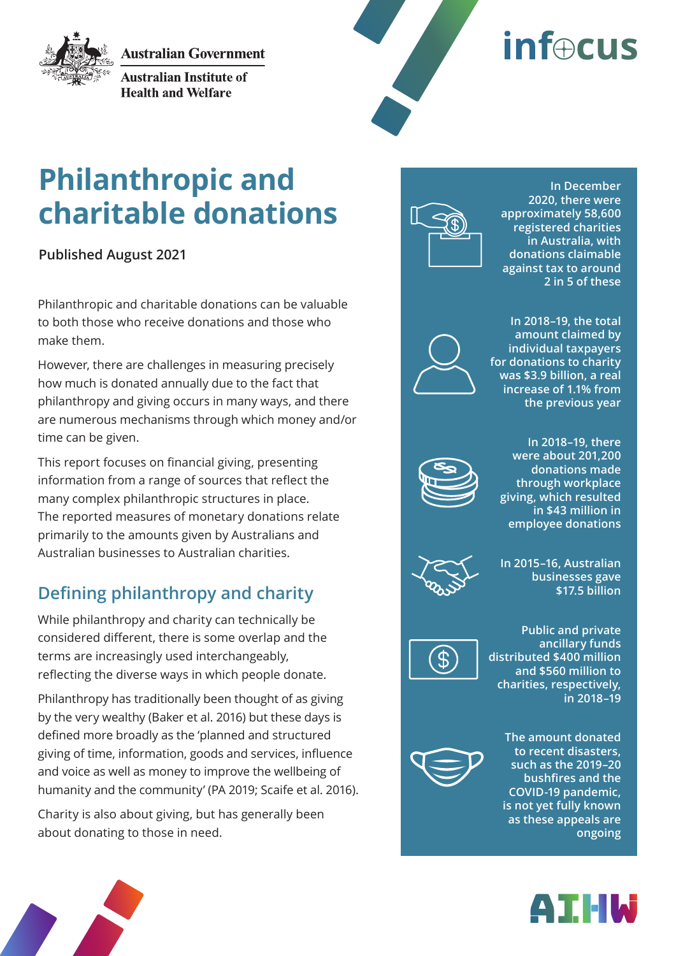**Australian Government** 



**Australian Institute of Health and Welfare** 



# **inf**ocus

# **Philanthropic and charitable donations**

**Published August 2021**

Philanthropic and charitable donations can be valuable to both those who receive donations and those who make them.

However, there are challenges in measuring precisely how much is donated annually due to the fact that philanthropy and giving occurs in many ways, and there are numerous mechanisms through which money and/or time can be given.

This report focuses on financial giving, presenting information from a range of sources that reflect the many complex philanthropic structures in place. The reported measures of monetary donations relate primarily to the amounts given by Australians and Australian businesses to Australian charities.

## **Defining philanthropy and charity**

While philanthropy and charity can technically be considered different, there is some overlap and the terms are increasingly used interchangeably, reflecting the diverse ways in which people donate.

Philanthropy has traditionally been thought of as giving by the very wealthy (Baker et al. 2016) but these days is defined more broadly as the 'planned and structured giving of time, information, goods and services, influence and voice as well as money to improve the wellbeing of humanity and the community' (PA 2019; Scaife et al. 2016).

Charity is also about giving, but has generally been about donating to those in need.



**In December 2020, there were approximately 58,600 registered charities in Australia, with donations claimable against tax to around 2 in 5 of these**



**In 2018–19, the total amount claimed by individual taxpayers for donations to charity was \$3.9 billion, a real increase of 1.1% from the previous year**



**In 2018–19, there were about 201,200 donations made through workplace giving, which resulted in \$43 million in employee donations**



**In 2015–16, Australian businesses gave \$17.5 billion**



**Public and private ancillary funds distributed \$400 million and \$560 million to charities, respectively, in 2018–19**



**The amount donated to recent disasters, such as the 2019–20 bushfires and the COVID-19 pandemic, is not yet fully known as these appeals are ongoing**

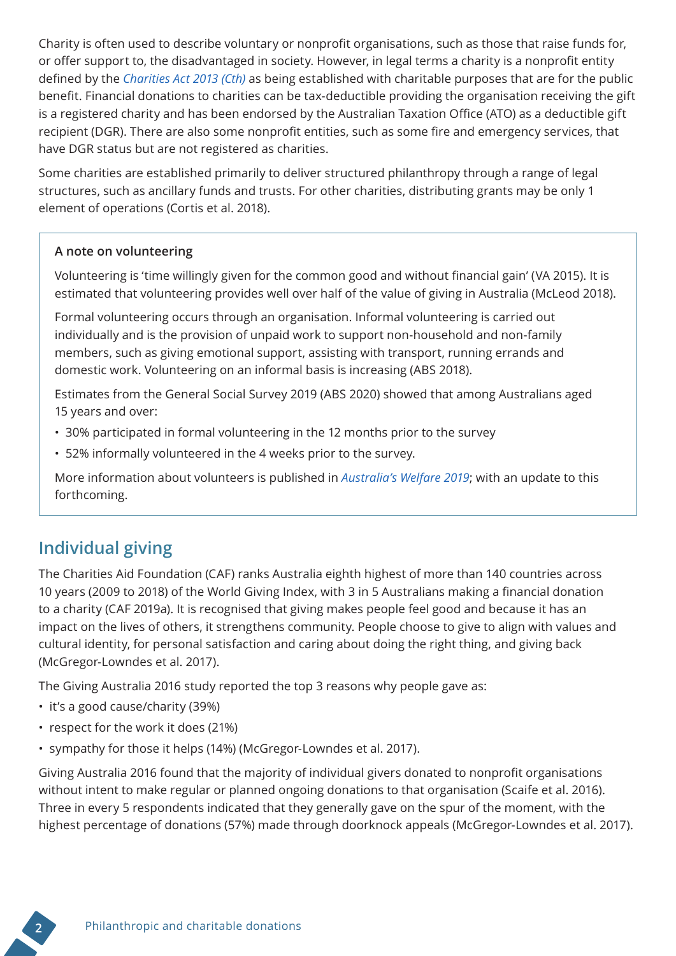Charity is often used to describe voluntary or nonprofit organisations, such as those that raise funds for, or offer support to, the disadvantaged in society. However, in legal terms a charity is a nonprofit entity defined by the *[Charities Act 2013 \(Cth\)](https://www.legislation.gov.au/Details/C2013A00100)* as being established with charitable purposes that are for the public benefit. Financial donations to charities can be tax-deductible providing the organisation receiving the gift is a registered charity and has been endorsed by the Australian Taxation Office (ATO) as a deductible gift recipient (DGR). There are also some nonprofit entities, such as some fire and emergency services, that have DGR status but are not registered as charities.

Some charities are established primarily to deliver structured philanthropy through a range of legal structures, such as ancillary funds and trusts. For other charities, distributing grants may be only 1 element of operations (Cortis et al. 2018).

#### **A note on volunteering**

Volunteering is 'time willingly given for the common good and without financial gain' (VA 2015). It is estimated that volunteering provides well over half of the value of giving in Australia (McLeod 2018).

Formal volunteering occurs through an organisation. Informal volunteering is carried out individually and is the provision of unpaid work to support non-household and non-family members, such as giving emotional support, assisting with transport, running errands and domestic work. Volunteering on an informal basis is increasing (ABS 2018).

Estimates from the General Social Survey 2019 (ABS 2020) showed that among Australians aged 15 years and over:

- 30% participated in formal volunteering in the 12 months prior to the survey
- 52% informally volunteered in the 4 weeks prior to the survey.

More information about volunteers is published in *[Australia's Welfare 2019](https://www.aihw.gov.au/reports/australias-welfare/volunteers)*; with an update to this forthcoming.

## **Individual giving**

The Charities Aid Foundation (CAF) ranks Australia eighth highest of more than 140 countries across 10 years (2009 to 2018) of the World Giving Index, with 3 in 5 Australians making a financial donation to a charity (CAF 2019a). It is recognised that giving makes people feel good and because it has an impact on the lives of others, it strengthens community. People choose to give to align with values and cultural identity, for personal satisfaction and caring about doing the right thing, and giving back (McGregor-Lowndes et al. 2017).

The Giving Australia 2016 study reported the top 3 reasons why people gave as:

- it's a good cause/charity (39%)
- respect for the work it does (21%)
- sympathy for those it helps (14%) (McGregor-Lowndes et al. 2017).

Giving Australia 2016 found that the majority of individual givers donated to nonprofit organisations without intent to make regular or planned ongoing donations to that organisation (Scaife et al. 2016). Three in every 5 respondents indicated that they generally gave on the spur of the moment, with the highest percentage of donations (57%) made through doorknock appeals (McGregor-Lowndes et al. 2017).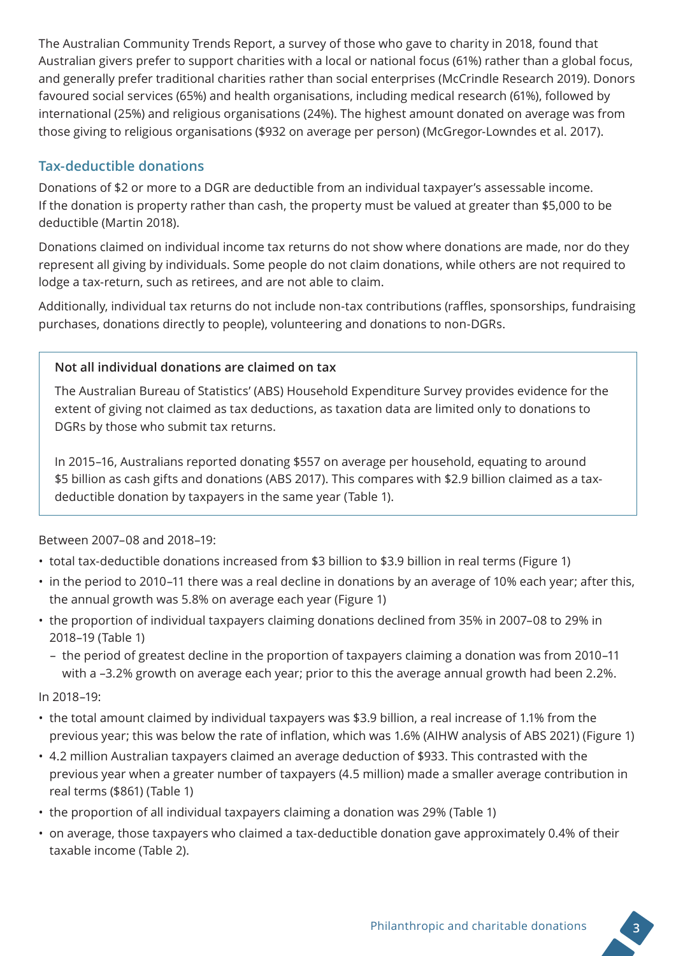The Australian Community Trends Report, a survey of those who gave to charity in 2018, found that Australian givers prefer to support charities with a local or national focus (61%) rather than a global focus, and generally prefer traditional charities rather than social enterprises (McCrindle Research 2019). Donors favoured social services (65%) and health organisations, including medical research (61%), followed by international (25%) and religious organisations (24%). The highest amount donated on average was from those giving to religious organisations (\$932 on average per person) (McGregor-Lowndes et al. 2017).

#### **Tax-deductible donations**

Donations of \$2 or more to a DGR are deductible from an individual taxpayer's assessable income. If the donation is property rather than cash, the property must be valued at greater than \$5,000 to be deductible (Martin 2018).

Donations claimed on individual income tax returns do not show where donations are made, nor do they represent all giving by individuals. Some people do not claim donations, while others are not required to lodge a tax-return, such as retirees, and are not able to claim.

Additionally, individual tax returns do not include non-tax contributions (raffles, sponsorships, fundraising purchases, donations directly to people), volunteering and donations to non-DGRs.

#### **Not all individual donations are claimed on tax**

The Australian Bureau of Statistics' (ABS) Household Expenditure Survey provides evidence for the extent of giving not claimed as tax deductions, as taxation data are limited only to donations to DGRs by those who submit tax returns.

In 2015–16, Australians reported donating \$557 on average per household, equating to around \$5 billion as cash gifts and donations (ABS 2017). This compares with \$2.9 billion claimed as a taxdeductible donation by taxpayers in the same year (Table 1).

Between 2007–08 and 2018–19:

- total tax-deductible donations increased from \$3 billion to \$3.9 billion in real terms (Figure 1)
- in the period to 2010–11 there was a real decline in donations by an average of 10% each year; after this, the annual growth was 5.8% on average each year (Figure 1)
- the proportion of individual taxpayers claiming donations declined from 35% in 2007–08 to 29% in 2018–19 (Table 1)
	- the period of greatest decline in the proportion of taxpayers claiming a donation was from 2010–11 with a –3.2% growth on average each year; prior to this the average annual growth had been 2.2%.

In 2018–19:

- the total amount claimed by individual taxpayers was \$3.9 billion, a real increase of 1.1% from the previous year; this was below the rate of inflation, which was 1.6% (AIHW analysis of ABS 2021) (Figure 1)
- 4.2 million Australian taxpayers claimed an average deduction of \$933. This contrasted with the previous year when a greater number of taxpayers (4.5 million) made a smaller average contribution in real terms (\$861) (Table 1)
- the proportion of all individual taxpayers claiming a donation was 29% (Table 1)
- on average, those taxpayers who claimed a tax-deductible donation gave approximately 0.4% of their taxable income (Table 2).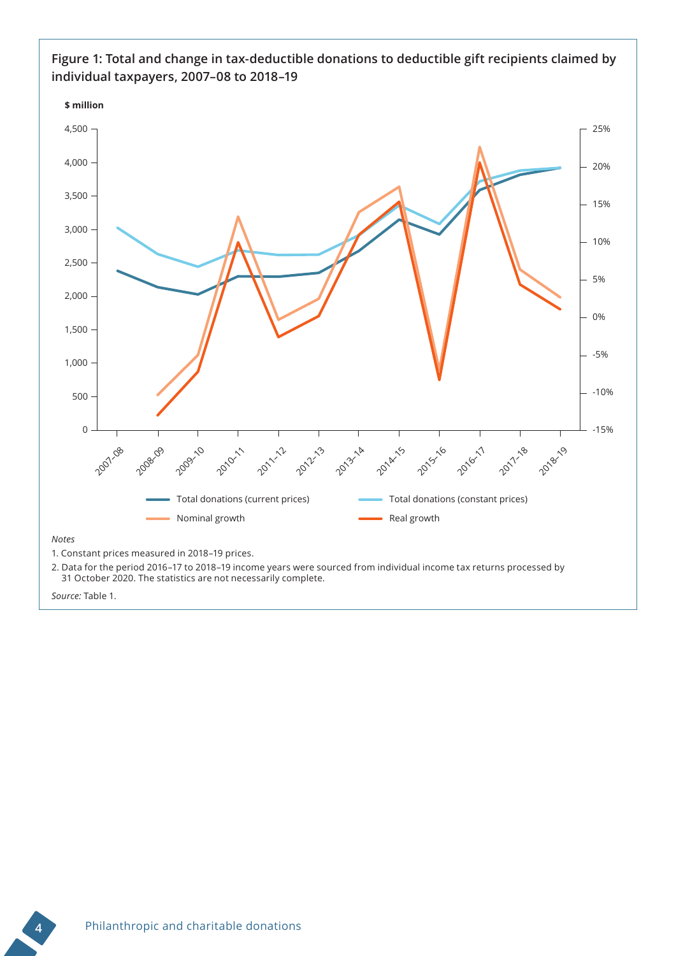

#### **Figure 1: Total and change in tax-deductible donations to deductible gift recipients claimed by individual taxpayers, 2007–08 to 2018–19**

2. Data for the period 2016–17 to 2018–19 income years were sourced from individual income tax returns processed by 31 October 2020. The statistics are not necessarily complete.

*Source:* Table 1.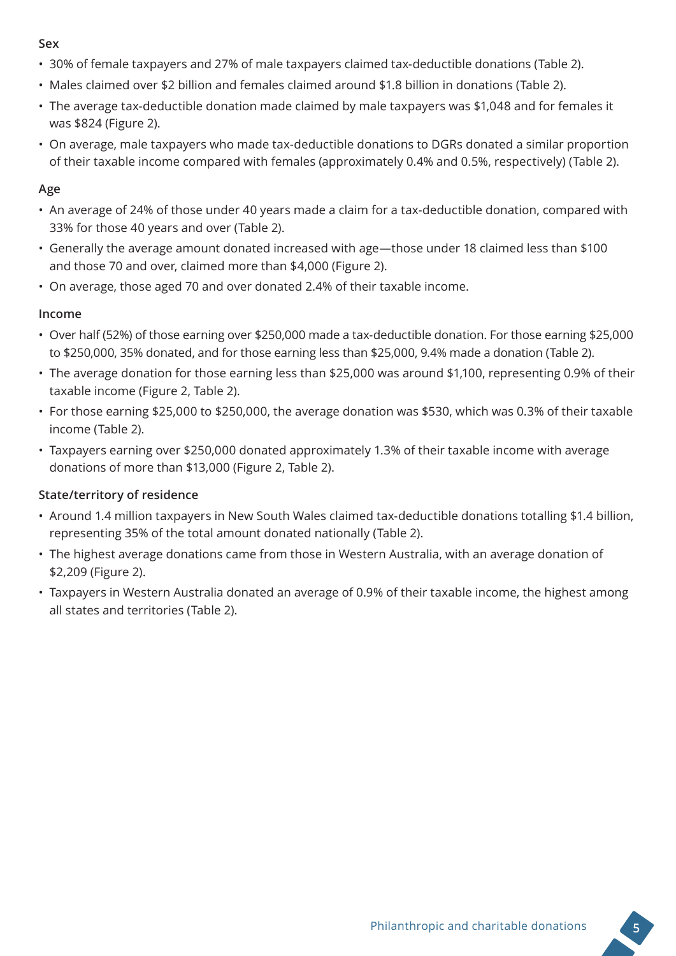#### **Sex**

- 30% of female taxpayers and 27% of male taxpayers claimed tax-deductible donations (Table 2).
- Males claimed over \$2 billion and females claimed around \$1.8 billion in donations (Table 2).
- The average tax-deductible donation made claimed by male taxpayers was \$1,048 and for females it was \$824 (Figure 2).
- On average, male taxpayers who made tax-deductible donations to DGRs donated a similar proportion of their taxable income compared with females (approximately 0.4% and 0.5%, respectively) (Table 2).

#### **Age**

- An average of 24% of those under 40 years made a claim for a tax-deductible donation, compared with 33% for those 40 years and over (Table 2).
- Generally the average amount donated increased with age—those under 18 claimed less than \$100 and those 70 and over, claimed more than \$4,000 (Figure 2).
- On average, those aged 70 and over donated 2.4% of their taxable income.

#### **Income**

- Over half (52%) of those earning over \$250,000 made a tax-deductible donation. For those earning \$25,000 to \$250,000, 35% donated, and for those earning less than \$25,000, 9.4% made a donation (Table 2).
- The average donation for those earning less than \$25,000 was around \$1,100, representing 0.9% of their taxable income (Figure 2, Table 2).
- For those earning \$25,000 to \$250,000, the average donation was \$530, which was 0.3% of their taxable income (Table 2).
- Taxpayers earning over \$250,000 donated approximately 1.3% of their taxable income with average donations of more than \$13,000 (Figure 2, Table 2).

#### **State/territory of residence**

- Around 1.4 million taxpayers in New South Wales claimed tax-deductible donations totalling \$1.4 billion, representing 35% of the total amount donated nationally (Table 2).
- The highest average donations came from those in Western Australia, with an average donation of \$2,209 (Figure 2).
- Taxpayers in Western Australia donated an average of 0.9% of their taxable income, the highest among all states and territories (Table 2).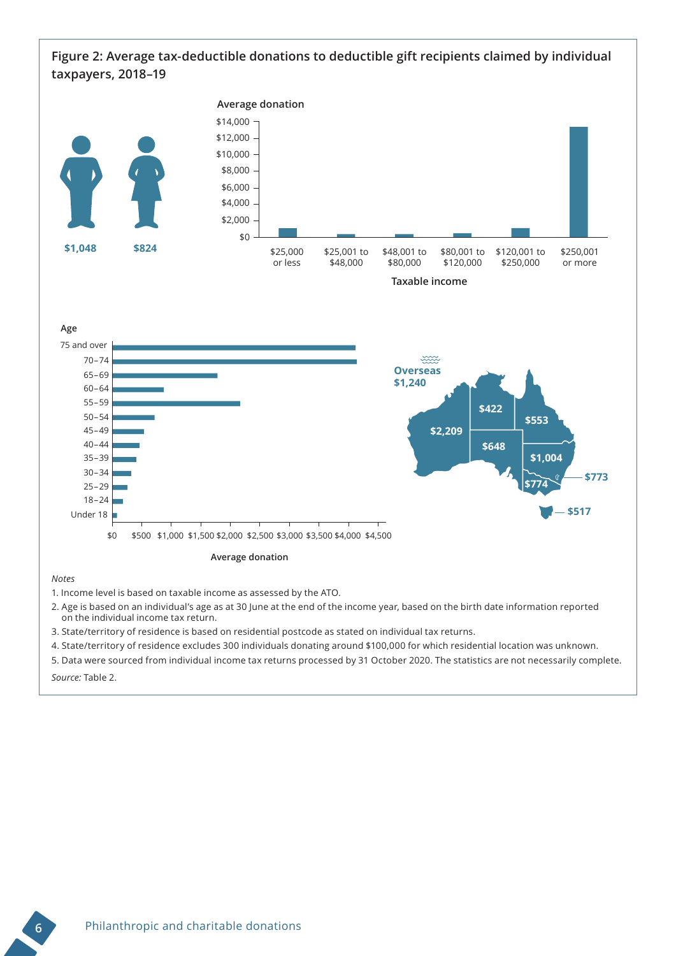#### **Figure 2: Average tax-deductible donations to deductible gift recipients claimed by individual taxpayers, 2018–19**



1. Income level is based on taxable income as assessed by the ATO.

2. Age is based on an individual's age as at 30 June at the end of the income year, based on the birth date information reported on the individual income tax return.

3. State/territory of residence is based on residential postcode as stated on individual tax returns.

4. State/territory of residence excludes 300 individuals donating around \$100,000 for which residential location was unknown.

5. Data were sourced from individual income tax returns processed by 31 October 2020. The statistics are not necessarily complete.

*Source:* Table 2.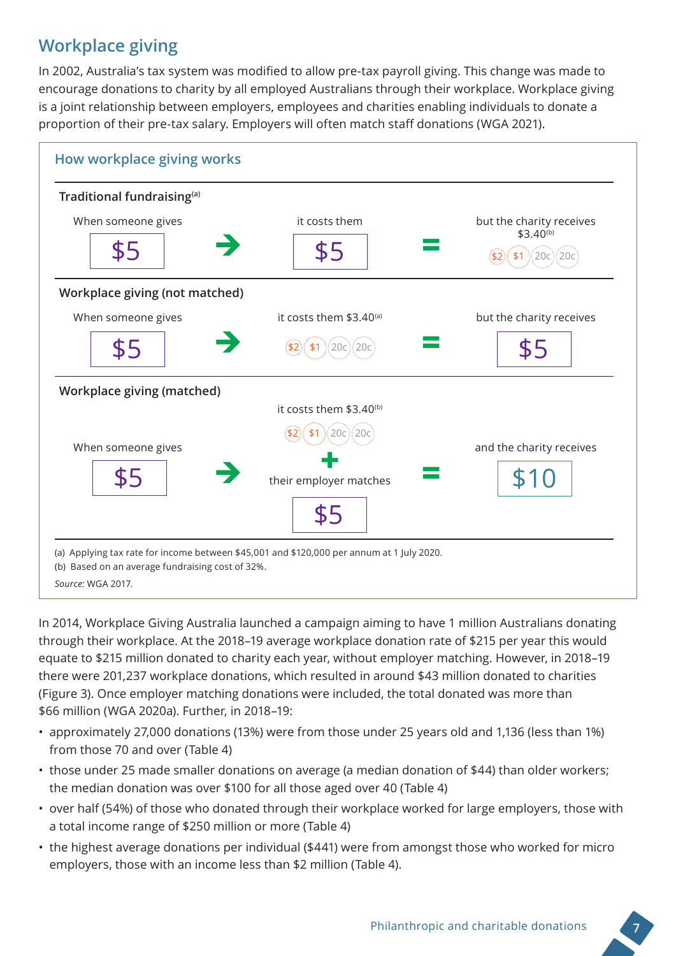## **Workplace giving**

In 2002, Australia's tax system was modified to allow pre-tax payroll giving. This change was made to encourage donations to charity by all employed Australians through their workplace. Workplace giving is a joint relationship between employers, employees and charities enabling individuals to donate a proportion of their pre-tax salary. Employers will often match staff donations (WGA 2021).



In 2014, Workplace Giving Australia launched a campaign aiming to have 1 million Australians donating through their workplace. At the 2018–19 average workplace donation rate of \$215 per year this would equate to \$215 million donated to charity each year, without employer matching. However, in 2018–19 there were 201,237 workplace donations, which resulted in around \$43 million donated to charities (Figure 3). Once employer matching donations were included, the total donated was more than \$66 million (WGA 2020a). Further, in 2018–19:

- approximately 27,000 donations (13%) were from those under 25 years old and 1,136 (less than 1%) from those 70 and over (Table 4)
- those under 25 made smaller donations on average (a median donation of \$44) than older workers; the median donation was over \$100 for all those aged over 40 (Table 4)
- over half (54%) of those who donated through their workplace worked for large employers, those with a total income range of \$250 million or more (Table 4)
- the highest average donations per individual (\$441) were from amongst those who worked for micro employers, those with an income less than \$2 million (Table 4).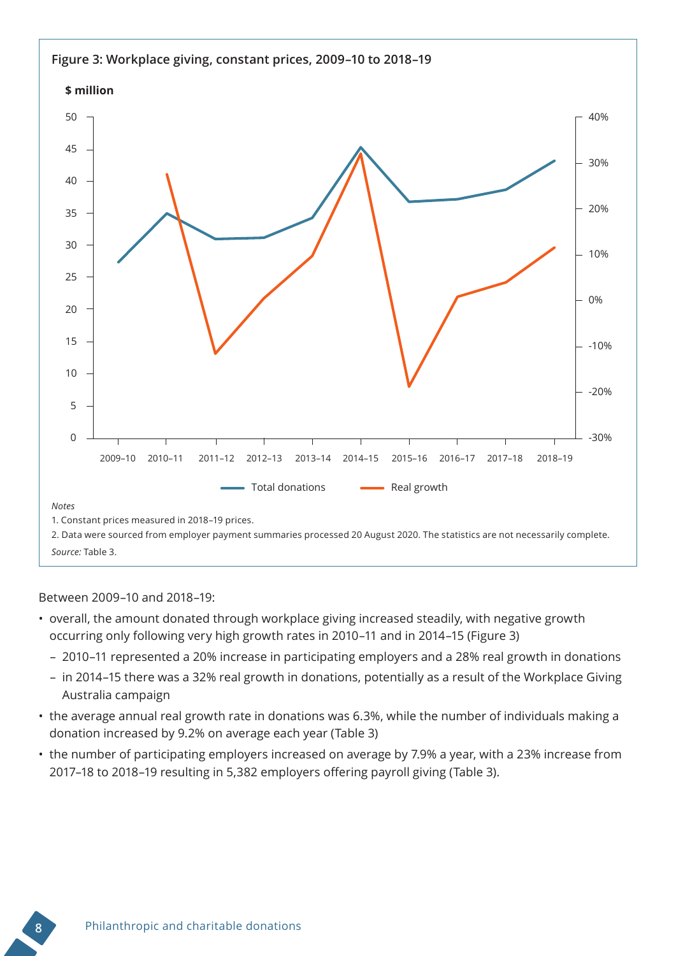

#### Between 2009–10 and 2018–19:

- overall, the amount donated through workplace giving increased steadily, with negative growth occurring only following very high growth rates in 2010–11 and in 2014–15 (Figure 3)
	- 2010–11 represented a 20% increase in participating employers and a 28% real growth in donations
	- in 2014–15 there was a 32% real growth in donations, potentially as a result of the Workplace Giving Australia campaign
- the average annual real growth rate in donations was 6.3%, while the number of individuals making a donation increased by 9.2% on average each year (Table 3)
- the number of participating employers increased on average by 7.9% a year, with a 23% increase from 2017–18 to 2018–19 resulting in 5,382 employers offering payroll giving (Table 3).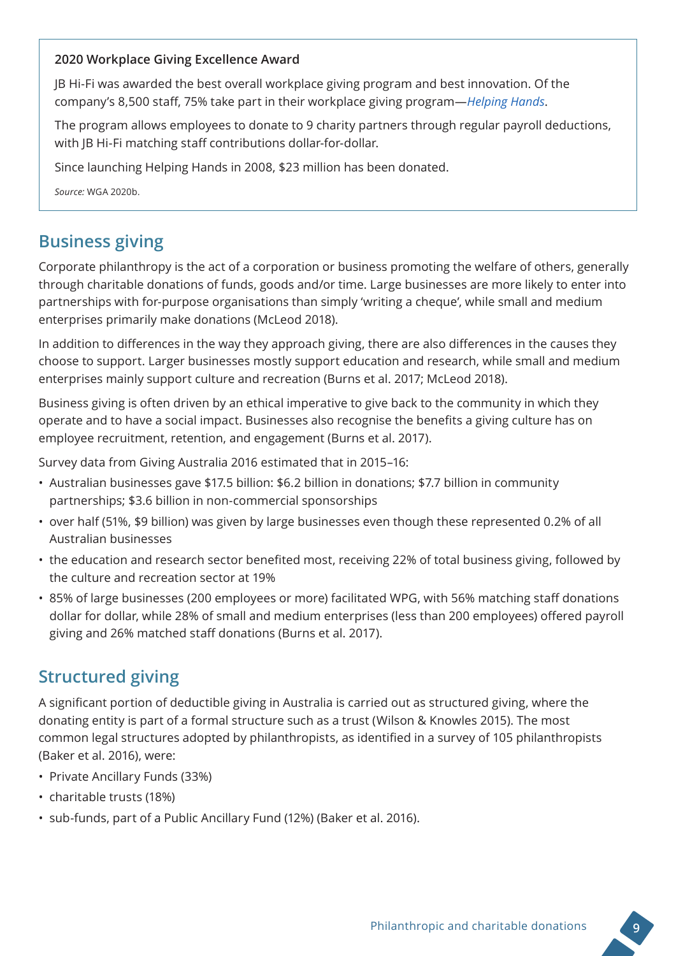#### **2020 Workplace Giving Excellence Award**

JB Hi-Fi was awarded the best overall workplace giving program and best innovation. Of the company's 8,500 staff, 75% take part in their workplace giving program—*[Helping Hands](https://solutions.jbhifi.com.au/project/helping-hands/)*.

The program allows employees to donate to 9 charity partners through regular payroll deductions, with JB Hi-Fi matching staff contributions dollar-for-dollar.

Since launching Helping Hands in 2008, \$23 million has been donated.

*Source:* WGA 2020b.

## **Business giving**

Corporate philanthropy is the act of a corporation or business promoting the welfare of others, generally through charitable donations of funds, goods and/or time. Large businesses are more likely to enter into partnerships with for-purpose organisations than simply 'writing a cheque', while small and medium enterprises primarily make donations (McLeod 2018).

In addition to differences in the way they approach giving, there are also differences in the causes they choose to support. Larger businesses mostly support education and research, while small and medium enterprises mainly support culture and recreation (Burns et al. 2017; McLeod 2018).

Business giving is often driven by an ethical imperative to give back to the community in which they operate and to have a social impact. Businesses also recognise the benefits a giving culture has on employee recruitment, retention, and engagement (Burns et al. 2017).

Survey data from Giving Australia 2016 estimated that in 2015–16:

- Australian businesses gave \$17.5 billion: \$6.2 billion in donations; \$7.7 billion in community partnerships; \$3.6 billion in non-commercial sponsorships
- over half (51%, \$9 billion) was given by large businesses even though these represented 0.2% of all Australian businesses
- the education and research sector benefited most, receiving 22% of total business giving, followed by the culture and recreation sector at 19%
- 85% of large businesses (200 employees or more) facilitated WPG, with 56% matching staff donations dollar for dollar, while 28% of small and medium enterprises (less than 200 employees) offered payroll giving and 26% matched staff donations (Burns et al. 2017).

## **Structured giving**

A significant portion of deductible giving in Australia is carried out as structured giving, where the donating entity is part of a formal structure such as a trust (Wilson & Knowles 2015). The most common legal structures adopted by philanthropists, as identified in a survey of 105 philanthropists (Baker et al. 2016), were:

- Private Ancillary Funds (33%)
- charitable trusts (18%)
- sub-funds, part of a Public Ancillary Fund (12%) (Baker et al. 2016).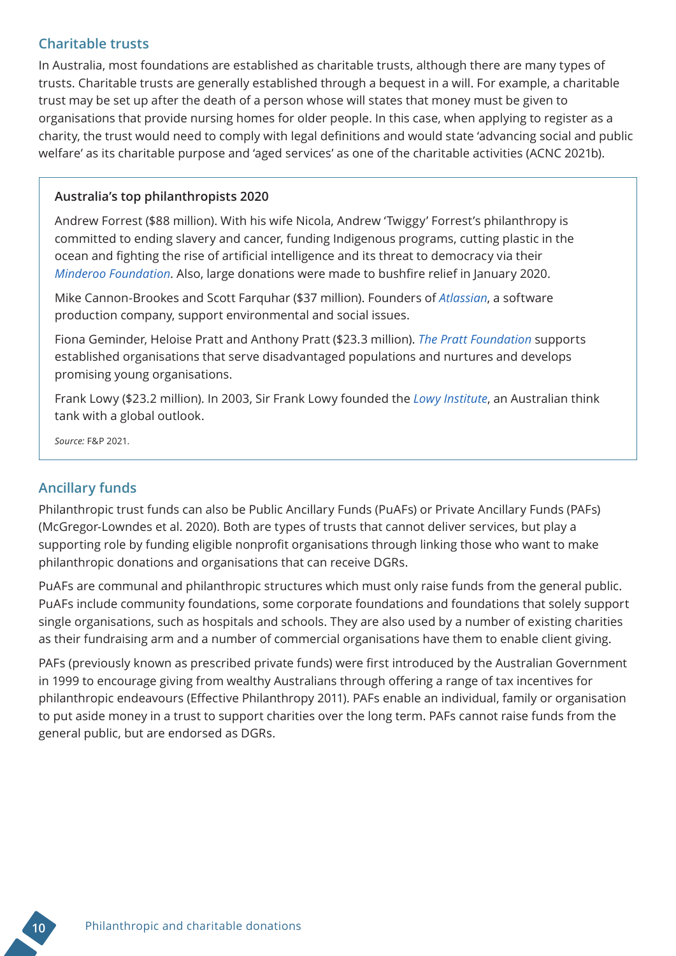#### **Charitable trusts**

In Australia, most foundations are established as charitable trusts, although there are many types of trusts. Charitable trusts are generally established through a bequest in a will. For example, a charitable trust may be set up after the death of a person whose will states that money must be given to organisations that provide nursing homes for older people. In this case, when applying to register as a charity, the trust would need to comply with legal definitions and would state 'advancing social and public welfare' as its charitable purpose and 'aged services' as one of the charitable activities (ACNC 2021b).

#### **Australia's top philanthropists 2020**

Andrew Forrest (\$88 million). With his wife Nicola, Andrew 'Twiggy' Forrest's philanthropy is committed to ending slavery and cancer, funding Indigenous programs, cutting plastic in the ocean and fighting the rise of artificial intelligence and its threat to democracy via their *[Minderoo Foundation](https://www.minderoo.org/)*. Also, large donations were made to bushfire relief in January 2020.

Mike Cannon-Brookes and Scott Farquhar (\$37 million). Founders of *[Atlassian](https://www.atlassian.com/)*, a software production company, support environmental and social issues.

Fiona Geminder, Heloise Pratt and Anthony Pratt (\$23.3 million). *[The Pratt Foundation](http://www.theprattfoundation-israel.org/?home/eng)* supports established organisations that serve disadvantaged populations and nurtures and develops promising young organisations.

Frank Lowy (\$23.2 million). In 2003, Sir Frank Lowy founded the *[Lowy Institute](https://www.lowyinstitute.org/)*, an Australian think tank with a global outlook.

*Source:* F&P 2021.

#### **Ancillary funds**

Philanthropic trust funds can also be Public Ancillary Funds (PuAFs) or Private Ancillary Funds (PAFs) (McGregor-Lowndes et al. 2020). Both are types of trusts that cannot deliver services, but play a supporting role by funding eligible nonprofit organisations through linking those who want to make philanthropic donations and organisations that can receive DGRs.

PuAFs are communal and philanthropic structures which must only raise funds from the general public. PuAFs include community foundations, some corporate foundations and foundations that solely support single organisations, such as hospitals and schools. They are also used by a number of existing charities as their fundraising arm and a number of commercial organisations have them to enable client giving.

PAFs (previously known as prescribed private funds) were first introduced by the Australian Government in 1999 to encourage giving from wealthy Australians through offering a range of tax incentives for philanthropic endeavours (Effective Philanthropy 2011). PAFs enable an individual, family or organisation to put aside money in a trust to support charities over the long term. PAFs cannot raise funds from the general public, but are endorsed as DGRs.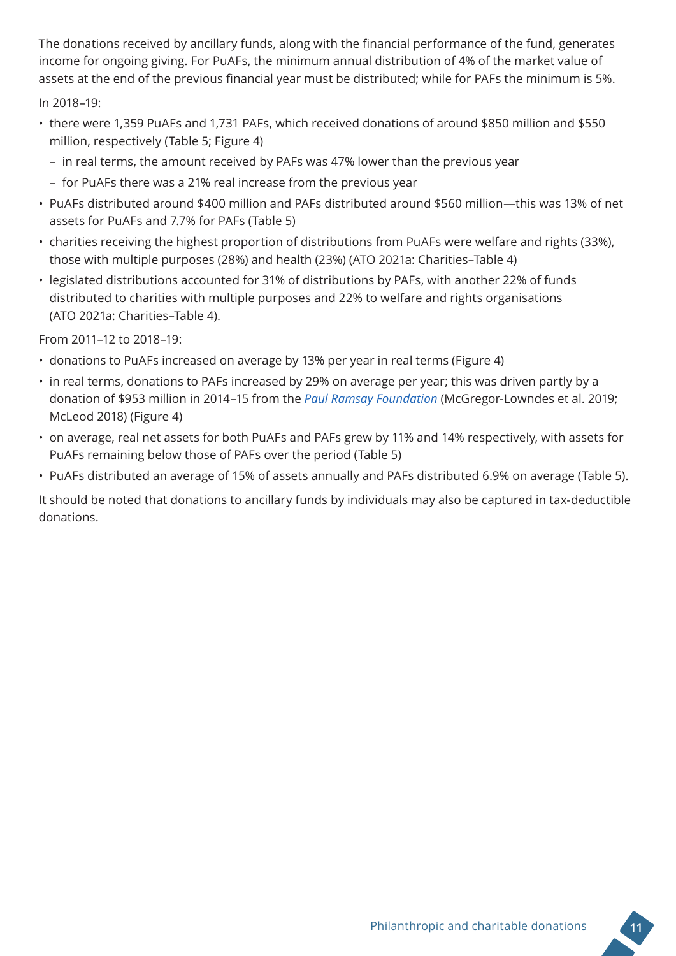The donations received by ancillary funds, along with the financial performance of the fund, generates income for ongoing giving. For PuAFs, the minimum annual distribution of 4% of the market value of assets at the end of the previous financial year must be distributed; while for PAFs the minimum is 5%.

In 2018–19:

- there were 1,359 PuAFs and 1,731 PAFs, which received donations of around \$850 million and \$550 million, respectively (Table 5; Figure 4)
	- in real terms, the amount received by PAFs was 47% lower than the previous year
	- for PuAFs there was a 21% real increase from the previous year
- PuAFs distributed around \$400 million and PAFs distributed around \$560 million—this was 13% of net assets for PuAFs and 7.7% for PAFs (Table 5)
- charities receiving the highest proportion of distributions from PuAFs were welfare and rights (33%), those with multiple purposes (28%) and health (23%) (ATO 2021a: Charities–Table 4)
- legislated distributions accounted for 31% of distributions by PAFs, with another 22% of funds distributed to charities with multiple purposes and 22% to welfare and rights organisations (ATO 2021a: Charities–Table 4).

From 2011–12 to 2018–19:

- donations to PuAFs increased on average by 13% per year in real terms (Figure 4)
- in real terms, donations to PAFs increased by 29% on average per year; this was driven partly by a donation of \$953 million in 2014–15 from the *[Paul Ramsay Foundation](https://paulramsayfoundation.org.au/)* (McGregor-Lowndes et al. 2019; McLeod 2018) (Figure 4)
- on average, real net assets for both PuAFs and PAFs grew by 11% and 14% respectively, with assets for PuAFs remaining below those of PAFs over the period (Table 5)
- PuAFs distributed an average of 15% of assets annually and PAFs distributed 6.9% on average (Table 5).

It should be noted that donations to ancillary funds by individuals may also be captured in tax-deductible donations.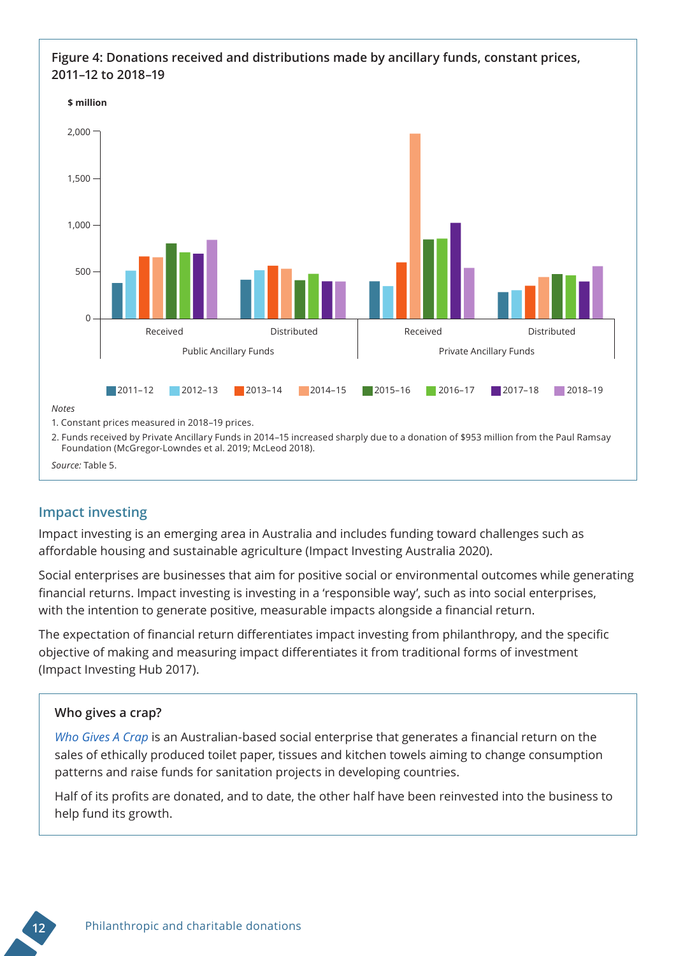#### **Figure 4: Donations received and distributions made by ancillary funds, constant prices, 2011–12 to 2018–19**





#### *Source:* Table 5.

#### **Impact investing**

Impact investing is an emerging area in Australia and includes funding toward challenges such as affordable housing and sustainable agriculture (Impact Investing Australia 2020).

Social enterprises are businesses that aim for positive social or environmental outcomes while generating financial returns. Impact investing is investing in a 'responsible way', such as into social enterprises, with the intention to generate positive, measurable impacts alongside a financial return.

The expectation of financial return differentiates impact investing from philanthropy, and the specific objective of making and measuring impact differentiates it from traditional forms of investment (Impact Investing Hub 2017).

#### **Who gives a crap?**

*[Who Gives A Crap](https://impactinvestingaustralia.com/portfolio/who-gives-a-crap/)* is an Australian-based social enterprise that generates a financial return on the sales of ethically produced toilet paper, tissues and kitchen towels aiming to change consumption patterns and raise funds for sanitation projects in developing countries.

Half of its profits are donated, and to date, the other half have been reinvested into the business to help fund its growth.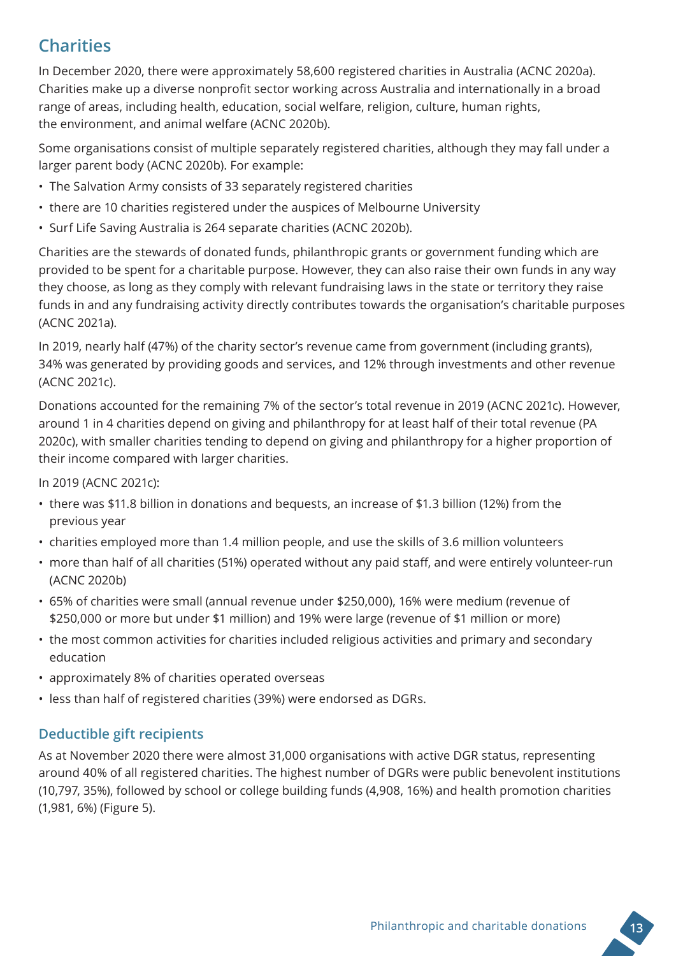## **Charities**

In December 2020, there were approximately 58,600 registered charities in Australia (ACNC 2020a). Charities make up a diverse nonprofit sector working across Australia and internationally in a broad range of areas, including health, education, social welfare, religion, culture, human rights, the environment, and animal welfare (ACNC 2020b).

Some organisations consist of multiple separately registered charities, although they may fall under a larger parent body (ACNC 2020b). For example:

- The Salvation Army consists of 33 separately registered charities
- there are 10 charities registered under the auspices of Melbourne University
- Surf Life Saving Australia is 264 separate charities (ACNC 2020b).

Charities are the stewards of donated funds, philanthropic grants or government funding which are provided to be spent for a charitable purpose. However, they can also raise their own funds in any way they choose, as long as they comply with relevant fundraising laws in the state or territory they raise funds in and any fundraising activity directly contributes towards the organisation's charitable purposes (ACNC 2021a).

In 2019, nearly half (47%) of the charity sector's revenue came from government (including grants), 34% was generated by providing goods and services, and 12% through investments and other revenue (ACNC 2021c).

Donations accounted for the remaining 7% of the sector's total revenue in 2019 (ACNC 2021c). However, around 1 in 4 charities depend on giving and philanthropy for at least half of their total revenue (PA 2020c), with smaller charities tending to depend on giving and philanthropy for a higher proportion of their income compared with larger charities.

In 2019 (ACNC 2021c):

- there was \$11.8 billion in donations and bequests, an increase of \$1.3 billion (12%) from the previous year
- charities employed more than 1.4 million people, and use the skills of 3.6 million volunteers
- more than half of all charities (51%) operated without any paid staff, and were entirely volunteer-run (ACNC 2020b)
- 65% of charities were small (annual revenue under \$250,000), 16% were medium (revenue of \$250,000 or more but under \$1 million) and 19% were large (revenue of \$1 million or more)
- the most common activities for charities included religious activities and primary and secondary education
- approximately 8% of charities operated overseas
- less than half of registered charities (39%) were endorsed as DGRs.

#### **Deductible gift recipients**

As at November 2020 there were almost 31,000 organisations with active DGR status, representing around 40% of all registered charities. The highest number of DGRs were public benevolent institutions (10,797, 35%), followed by school or college building funds (4,908, 16%) and health promotion charities (1,981, 6%) (Figure 5).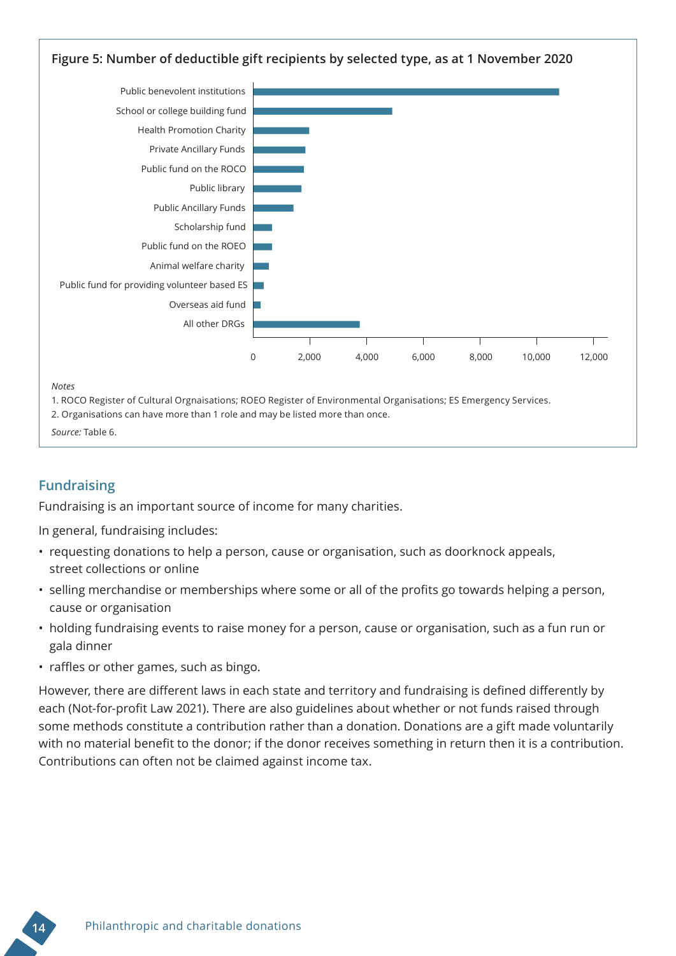

*Notes*

1. ROCO Register of Cultural Orgnaisations; ROEO Register of Environmental Organisations; ES Emergency Services.

2. Organisations can have more than 1 role and may be listed more than once.

```
Source: Table 6.
```
#### **Fundraising**

Fundraising is an important source of income for many charities.

In general, fundraising includes:

- requesting donations to help a person, cause or organisation, such as doorknock appeals, street collections or online
- selling merchandise or memberships where some or all of the profits go towards helping a person, cause or organisation
- holding fundraising events to raise money for a person, cause or organisation, such as a fun run or gala dinner
- raffles or other games, such as bingo.

However, there are different laws in each state and territory and fundraising is defined differently by each (Not-for-profit Law 2021). There are also guidelines about whether or not funds raised through some methods constitute a contribution rather than a donation. Donations are a gift made voluntarily with no material benefit to the donor; if the donor receives something in return then it is a contribution. Contributions can often not be claimed against income tax.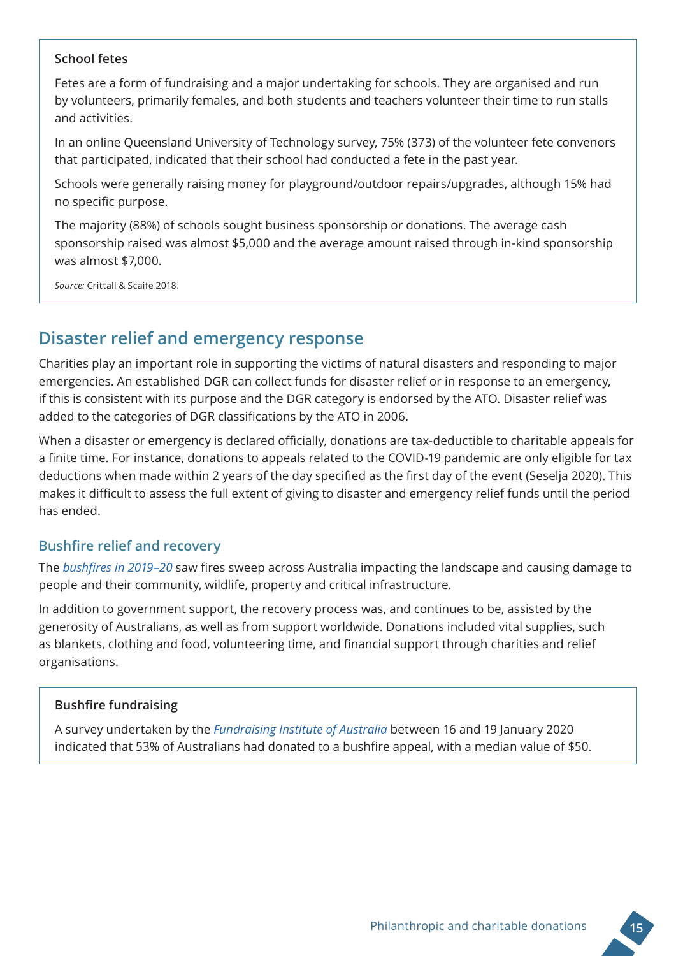#### **School fetes**

Fetes are a form of fundraising and a major undertaking for schools. They are organised and run by volunteers, primarily females, and both students and teachers volunteer their time to run stalls and activities.

In an online Queensland University of Technology survey, 75% (373) of the volunteer fete convenors that participated, indicated that their school had conducted a fete in the past year.

Schools were generally raising money for playground/outdoor repairs/upgrades, although 15% had no specific purpose.

The majority (88%) of schools sought business sponsorship or donations. The average cash sponsorship raised was almost \$5,000 and the average amount raised through in-kind sponsorship was almost \$7,000.

*Source:* Crittall & Scaife 2018.

### **Disaster relief and emergency response**

Charities play an important role in supporting the victims of natural disasters and responding to major emergencies. An established DGR can collect funds for disaster relief or in response to an emergency, if this is consistent with its purpose and the DGR category is endorsed by the ATO. Disaster relief was added to the categories of DGR classifications by the ATO in 2006.

When a disaster or emergency is declared officially, donations are tax-deductible to charitable appeals for a finite time. For instance, donations to appeals related to the COVID-19 pandemic are only eligible for tax deductions when made within 2 years of the day specified as the first day of the event (Seselja 2020). This makes it difficult to assess the full extent of giving to disaster and emergency relief funds until the period has ended.

#### **Bushfire relief and recovery**

The *[bushfires in 2019–20](https://www.aihw.gov.au/reports/environment-and-health/short-term-health-impacts-2019-20-bushfires/contents/summary)* saw fires sweep across Australia impacting the landscape and causing damage to people and their community, wildlife, property and critical infrastructure.

In addition to government support, the recovery process was, and continues to be, assisted by the generosity of Australians, as well as from support worldwide. Donations included vital supplies, such as blankets, clothing and food, volunteering time, and financial support through charities and relief organisations.

#### **Bushfire fundraising**

A survey undertaken by the *[Fundraising Institute of Australia](https://morestrategic.com.au/wp-content/uploads/2020/01/More-Strategic-FIA-Bushfire-Fundraising-Short-Report-Jan-2020.pdf)* between 16 and 19 January 2020 indicated that 53% of Australians had donated to a bushfire appeal, with a median value of \$50.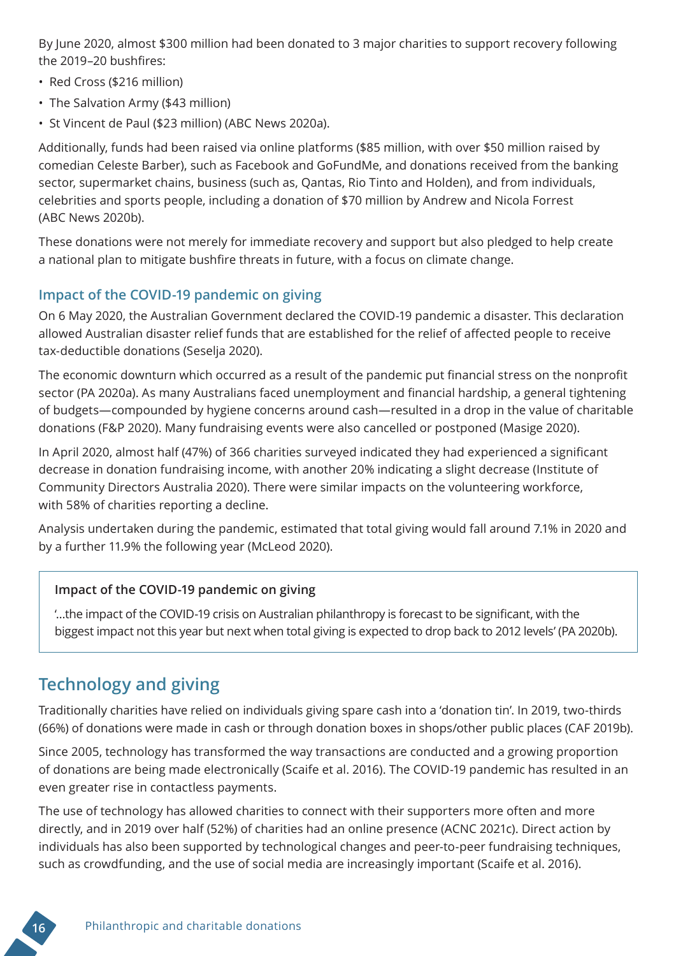By June 2020, almost \$300 million had been donated to 3 major charities to support recovery following the [2019–20 bushfire](https://www.aihw.gov.au/reports/environment-and-health/short-term-health-impacts-2019-20-bushfires/contents/summary)s:

- Red Cross (\$216 million)
- The Salvation Army (\$43 million)
- St Vincent de Paul (\$23 million) (ABC News 2020a).

Additionally, funds had been raised via online platforms (\$85 million, with over \$50 million raised by comedian Celeste Barber), such as Facebook and GoFundMe, and donations received from the banking sector, supermarket chains, business (such as, Qantas, Rio Tinto and Holden), and from individuals, celebrities and sports people, including a donation of \$70 million by Andrew and Nicola Forrest (ABC News 2020b).

These donations were not merely for immediate recovery and support but also pledged to help create a national plan to mitigate bushfire threats in future, with a focus on climate change.

#### **Impact of the COVID-19 pandemic on giving**

On 6 May 2020, the Australian Government declared the COVID-19 pandemic a disaster. This declaration allowed Australian disaster relief funds that are established for the relief of affected people to receive tax-deductible donations (Seselja 2020).

The economic downturn which occurred as a result of the pandemic put financial stress on the nonprofit sector (PA 2020a). As many Australians faced unemployment and financial hardship, a general tightening of budgets—compounded by hygiene concerns around cash—resulted in a drop in the value of charitable donations (F&P 2020). Many fundraising events were also cancelled or postponed (Masige 2020).

In April 2020, almost half (47%) of 366 charities surveyed indicated they had experienced a significant decrease in donation fundraising income, with another 20% indicating a slight decrease (Institute of Community Directors Australia 2020). There were similar impacts on the volunteering workforce, with 58% of charities reporting a decline.

Analysis undertaken during the pandemic, estimated that total giving would fall around 7.1% in 2020 and by a further 11.9% the following year (McLeod 2020).

#### **Impact of the COVID-19 pandemic on giving**

'…the impact of the COVID-19 crisis on Australian philanthropy is forecast to be significant, with the biggest impact not this year but next when total giving is expected to drop back to 2012 levels' (PA 2020b).

## **Technology and giving**

Traditionally charities have relied on individuals giving spare cash into a 'donation tin'. In 2019, two-thirds (66%) of donations were made in cash or through donation boxes in shops/other public places (CAF 2019b).

Since 2005, technology has transformed the way transactions are conducted and a growing proportion of donations are being made electronically (Scaife et al. 2016). The COVID-19 pandemic has resulted in an even greater rise in contactless payments.

The use of technology has allowed charities to connect with their supporters more often and more directly, and in 2019 over half (52%) of charities had an online presence (ACNC 2021c). Direct action by individuals has also been supported by technological changes and peer-to-peer fundraising techniques, such as crowdfunding, and the use of social media are increasingly important (Scaife et al. 2016).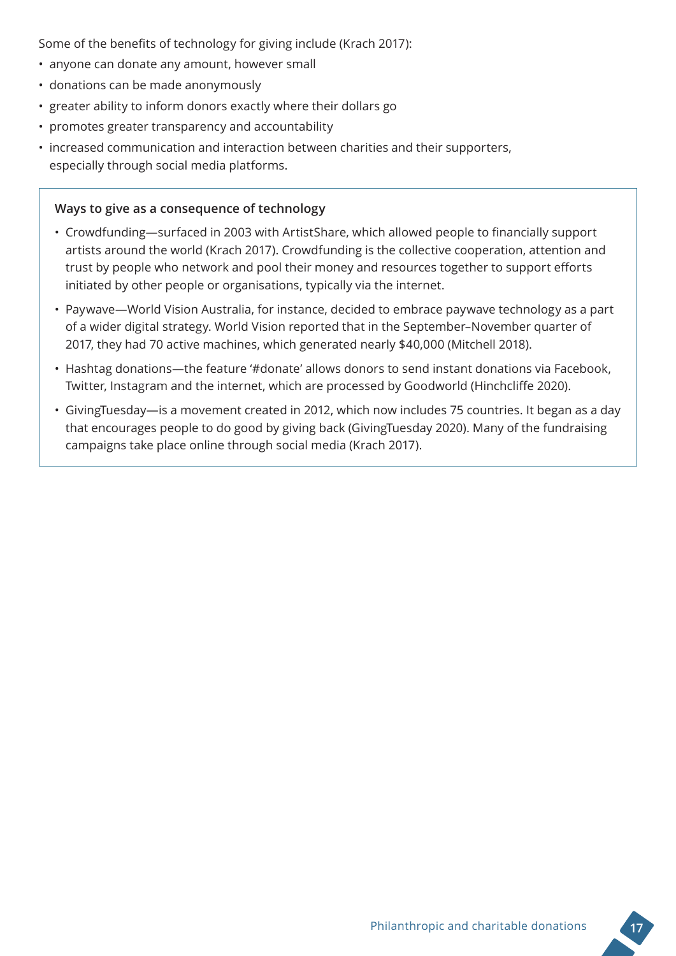Some of the benefits of technology for giving include (Krach 2017):

- anyone can donate any amount, however small
- donations can be made anonymously
- greater ability to inform donors exactly where their dollars go
- promotes greater transparency and accountability
- increased communication and interaction between charities and their supporters, especially through social media platforms.

#### **Ways to give as a consequence of technology**

- Crowdfunding—surfaced in 2003 with ArtistShare, which allowed people to financially support artists around the world (Krach 2017). Crowdfunding is the collective cooperation, attention and trust by people who network and pool their money and resources together to support efforts initiated by other people or organisations, typically via the internet.
- Paywave—World Vision Australia, for instance, decided to embrace paywave technology as a part of a wider digital strategy. World Vision reported that in the September–November quarter of 2017, they had 70 active machines, which generated nearly \$40,000 (Mitchell 2018).
- Hashtag donations—the feature '#donate' allows donors to send instant donations via Facebook, Twitter, Instagram and the internet, which are processed by Goodworld (Hinchcliffe 2020).
- GivingTuesday—is a movement created in 2012, which now includes 75 countries. It began as a day that encourages people to do good by giving back (GivingTuesday 2020). Many of the fundraising campaigns take place online through social media (Krach 2017).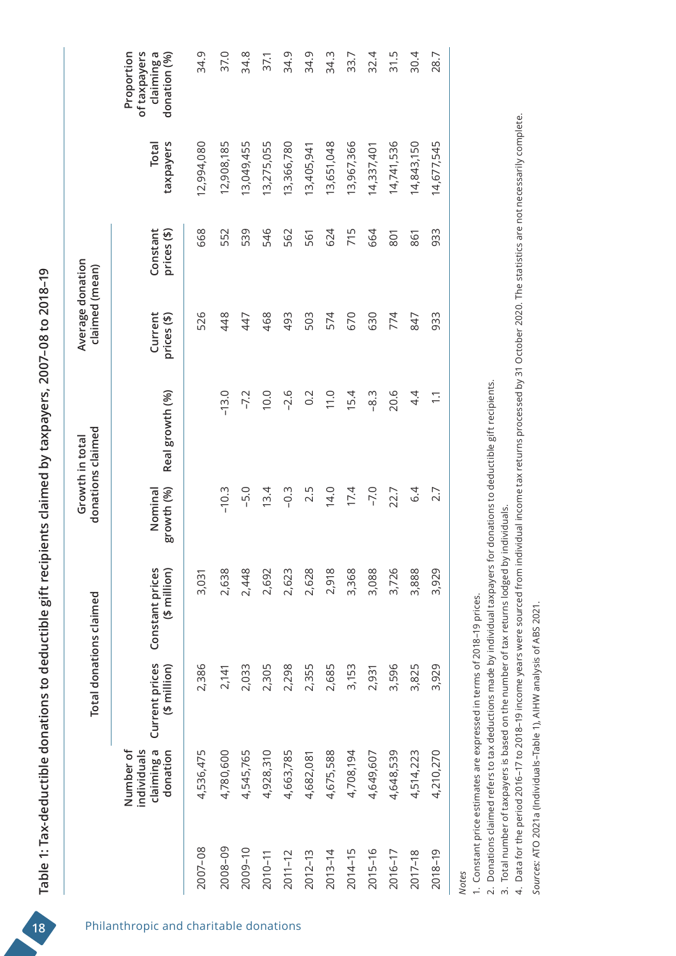|             |                                                    |                                 | Total donations claimed         |                       | donations claimed<br>Growth in total | Average donation<br>claimed (mean) |                         |                    |                                                          |
|-------------|----------------------------------------------------|---------------------------------|---------------------------------|-----------------------|--------------------------------------|------------------------------------|-------------------------|--------------------|----------------------------------------------------------|
|             | Number of<br>individuals<br>claiming a<br>donation | Current prices<br>$(5$ million) | Constant prices<br>(\$ million) | growth (%)<br>Nominal | Real growth (%)                      | Current<br>prices (\$)             | Constant<br>prices (\$) | taxpayers<br>Total | Proportion<br>of taxpayers<br>claiming a<br>donation (%) |
| 2007-08     | 4,536,475                                          | 2,386                           | 3,031                           |                       |                                      | 526                                | 668                     | 12,994,080         | 34.9                                                     |
| 2008-09     | 4,780,600                                          | 2,141                           | 2,638                           | $-10.3$               | $-13.0$                              | 448                                | 552                     | 12,908,185         | 37.0                                                     |
| 2009-10     | 4,545,765                                          | 2,033                           | 2,448                           | $-5.0$                | $-7.2$                               | 447                                | 539                     | 13,049,455         | 34.8                                                     |
| $2010 - 11$ | 4,928,310                                          | 2,305                           | 2,692                           | 13.4                  | 10.0                                 | 468                                | 546                     | 13,275,055         | 37.1                                                     |
| $2011 - 12$ | 4,663,785                                          | 2,298                           | 2,623                           | $-0.3$                | $-2.6$                               | 493                                | 562                     | 13,366,780         | 34.9                                                     |
| $2012 - 13$ | 4,682,081                                          | 2,355                           | 2,628                           | 2.5                   | $0.\overline{2}$                     | 503                                | 561                     | 13,405,941         | 34.9                                                     |
| $2013 - 14$ | 4,675,588                                          | 2,685                           | 2,918                           | 14.0                  | 11.0                                 | 574                                | 624                     | 13,651,048         | 34.3                                                     |
| $2014 - 15$ | 4,708,194                                          | 3,153                           | 3,368                           | 17.4                  | 15.4                                 | 670                                | 715                     | 13,967,366         | 33.7                                                     |
| $2015 - 16$ | 4,649,607                                          | 2,931                           | 3,088                           | $-7.0$                | .<br>ფ.                              | 630                                | 664                     | 14,337,401         | 32.4                                                     |
| 2016-17     | 4,648,539                                          | 3,596                           | 3,726                           | 22.7                  | 20.6                                 | 774                                | 801                     | 14,741,536         | 31.5                                                     |
| 2017-18     | 4,514,223                                          | 3,825                           | 3,888                           | 6.4                   | 4.4                                  | 847                                | 861                     | 14,843,150         | 30.4                                                     |
| 2018-19     | 4,210,270                                          | 3,929                           | 3,929                           | 2.7                   | $\overline{\phantom{0}}$             | 933                                | 933                     | 14,677,545         | 28.7                                                     |

*Notes*

1. Constant price estimates are expressed in terms of 2018-19 prices. 1. Constant price estimates are expressed in terms of 2018–19 prices.

2. Donations claimed refers to tax deductions made by individual taxpayers for donations to deductible gift recipients. 2. Donations claimed refers to tax deductions made by individual taxpayers for donations to deductible gift recipients.

3. Total number of taxpayers is based on the number of tax returns lodged by individuals. 3. Total number of taxpayers is based on the number of tax returns lodged by individuals.

4. Data for the period 2016–17 to 2018–19 income years were sourced from individual income tax returns processed by 31 October 2020. The statistics are not necessarily complete. 4. Data for the period 2016–17 to 2018–19 income years were sourced from individual income tax returns processed by 31 October 2020. The statistics are not necessarily complete.

Sources: ATO 2021a (Individuals-Table 1), AIHW analysis of ABS 2021. *Sources:* ATO 2021a (Individuals–Table 1), AIHW analysis of ABS 2021.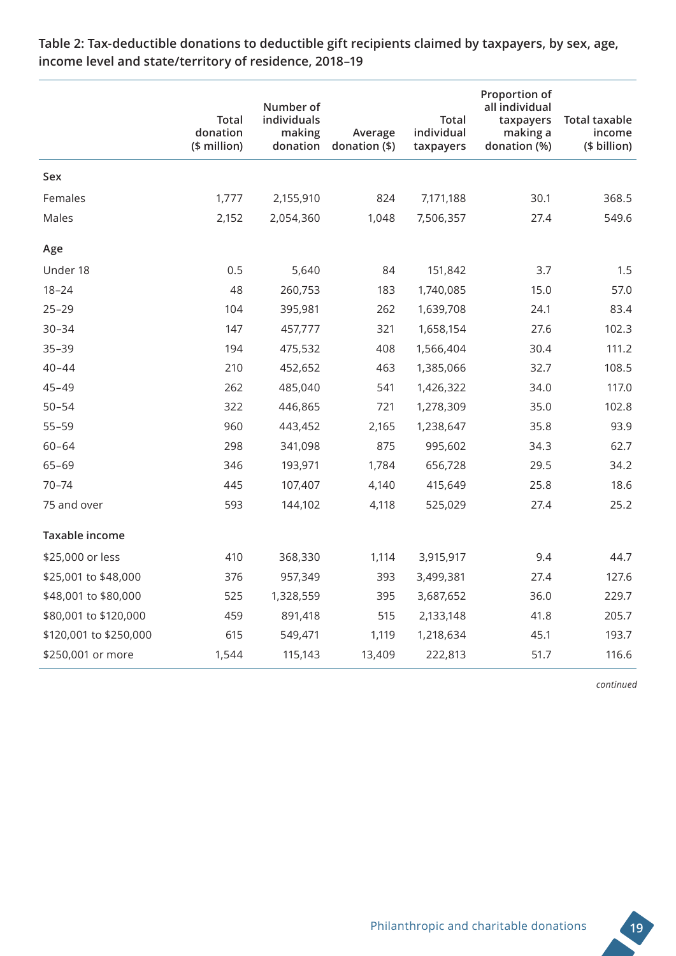|                        | <b>Total</b><br>donation<br>(\$ million) | Number of<br>individuals<br>making<br>donation | Average<br>donation (\$) | <b>Total</b><br>individual<br>taxpayers | Proportion of<br>all individual<br>taxpayers<br>making a<br>donation (%) | <b>Total taxable</b><br>income<br>(\$ billion) |
|------------------------|------------------------------------------|------------------------------------------------|--------------------------|-----------------------------------------|--------------------------------------------------------------------------|------------------------------------------------|
| Sex                    |                                          |                                                |                          |                                         |                                                                          |                                                |
| Females                | 1,777                                    | 2,155,910                                      | 824                      | 7,171,188                               | 30.1                                                                     | 368.5                                          |
| Males                  | 2,152                                    | 2,054,360                                      | 1,048                    | 7,506,357                               | 27.4                                                                     | 549.6                                          |
| Age                    |                                          |                                                |                          |                                         |                                                                          |                                                |
| Under 18               | 0.5                                      | 5,640                                          | 84                       | 151,842                                 | 3.7                                                                      | 1.5                                            |
| $18 - 24$              | 48                                       | 260,753                                        | 183                      | 1,740,085                               | 15.0                                                                     | 57.0                                           |
| $25 - 29$              | 104                                      | 395,981                                        | 262                      | 1,639,708                               | 24.1                                                                     | 83.4                                           |
| $30 - 34$              | 147                                      | 457,777                                        | 321                      | 1,658,154                               | 27.6                                                                     | 102.3                                          |
| $35 - 39$              | 194                                      | 475,532                                        | 408                      | 1,566,404                               | 30.4                                                                     | 111.2                                          |
| $40 - 44$              | 210                                      | 452,652                                        | 463                      | 1,385,066                               | 32.7                                                                     | 108.5                                          |
| $45 - 49$              | 262                                      | 485,040                                        | 541                      | 1,426,322                               | 34.0                                                                     | 117.0                                          |
| $50 - 54$              | 322                                      | 446,865                                        | 721                      | 1,278,309                               | 35.0                                                                     | 102.8                                          |
| $55 - 59$              | 960                                      | 443,452                                        | 2,165                    | 1,238,647                               | 35.8                                                                     | 93.9                                           |
| $60 - 64$              | 298                                      | 341,098                                        | 875                      | 995,602                                 | 34.3                                                                     | 62.7                                           |
| $65 - 69$              | 346                                      | 193,971                                        | 1,784                    | 656,728                                 | 29.5                                                                     | 34.2                                           |
| $70 - 74$              | 445                                      | 107,407                                        | 4,140                    | 415,649                                 | 25.8                                                                     | 18.6                                           |
| 75 and over            | 593                                      | 144,102                                        | 4,118                    | 525,029                                 | 27.4                                                                     | 25.2                                           |
| Taxable income         |                                          |                                                |                          |                                         |                                                                          |                                                |
| \$25,000 or less       | 410                                      | 368,330                                        | 1,114                    | 3,915,917                               | 9.4                                                                      | 44.7                                           |
| \$25,001 to \$48,000   | 376                                      | 957,349                                        | 393                      | 3,499,381                               | 27.4                                                                     | 127.6                                          |
| \$48,001 to \$80,000   | 525                                      | 1,328,559                                      | 395                      | 3,687,652                               | 36.0                                                                     | 229.7                                          |
| \$80,001 to \$120,000  | 459                                      | 891,418                                        | 515                      | 2,133,148                               | 41.8                                                                     | 205.7                                          |
| \$120,001 to \$250,000 | 615                                      | 549,471                                        | 1,119                    | 1,218,634                               | 45.1                                                                     | 193.7                                          |
| \$250,001 or more      | 1,544                                    | 115,143                                        | 13,409                   | 222,813                                 | 51.7                                                                     | 116.6                                          |

**Table 2: Tax-deductible donations to deductible gift recipients claimed by taxpayers, by sex, age, income level and state/territory of residence, 2018–19**

*continued*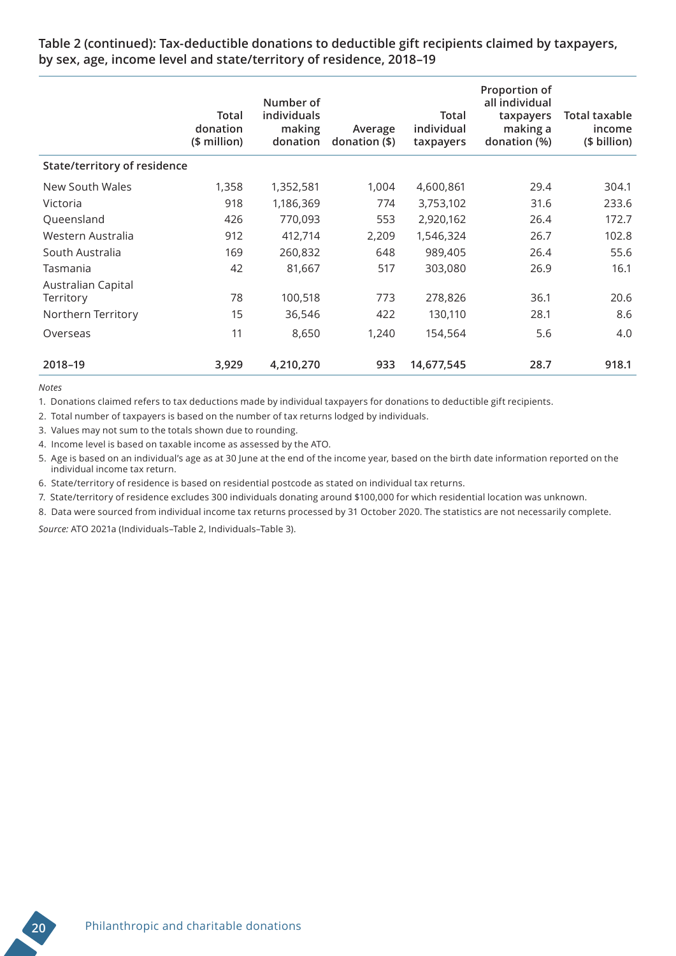**Table 2 (continued): Tax-deductible donations to deductible gift recipients claimed by taxpayers, by sex, age, income level and state/territory of residence, 2018–19**

|                              | Total<br>donation<br>(\$ million) | Number of<br>individuals<br>making<br>donation | Average<br>donation (\$) | Total<br>individual<br>taxpayers | Proportion of<br>all individual<br>taxpayers<br>making a<br>donation (%) | <b>Total taxable</b><br>income<br>(\$ billion) |
|------------------------------|-----------------------------------|------------------------------------------------|--------------------------|----------------------------------|--------------------------------------------------------------------------|------------------------------------------------|
| State/territory of residence |                                   |                                                |                          |                                  |                                                                          |                                                |
| New South Wales              | 1,358                             | 1,352,581                                      | 1,004                    | 4,600,861                        | 29.4                                                                     | 304.1                                          |
| Victoria                     | 918                               | 1,186,369                                      | 774                      | 3,753,102                        | 31.6                                                                     | 233.6                                          |
| Queensland                   | 426                               | 770,093                                        | 553                      | 2,920,162                        | 26.4                                                                     | 172.7                                          |
| Western Australia            | 912                               | 412,714                                        | 2,209                    | 1,546,324                        | 26.7                                                                     | 102.8                                          |
| South Australia              | 169                               | 260,832                                        | 648                      | 989,405                          | 26.4                                                                     | 55.6                                           |
| Tasmania                     | 42                                | 81,667                                         | 517                      | 303,080                          | 26.9                                                                     | 16.1                                           |
| Australian Capital           |                                   |                                                |                          |                                  |                                                                          |                                                |
| Territory                    | 78                                | 100,518                                        | 773                      | 278,826                          | 36.1                                                                     | 20.6                                           |
| Northern Territory           | 15                                | 36,546                                         | 422                      | 130,110                          | 28.1                                                                     | 8.6                                            |
| Overseas                     | 11                                | 8,650                                          | 1,240                    | 154,564                          | 5.6                                                                      | 4.0                                            |
| 2018-19                      | 3,929                             | 4,210,270                                      | 933                      | 14,677,545                       | 28.7                                                                     | 918.1                                          |

*Notes*

1. Donations claimed refers to tax deductions made by individual taxpayers for donations to deductible gift recipients.

2. Total number of taxpayers is based on the number of tax returns lodged by individuals.

3. Values may not sum to the totals shown due to rounding.

4. Income level is based on taxable income as assessed by the ATO.

5. Age is based on an individual's age as at 30 June at the end of the income year, based on the birth date information reported on the individual income tax return.

6. State/territory of residence is based on residential postcode as stated on individual tax returns.

7. State/territory of residence excludes 300 individuals donating around \$100,000 for which residential location was unknown.

8. Data were sourced from individual income tax returns processed by 31 October 2020. The statistics are not necessarily complete.

*Source:* ATO 2021a (Individuals–Table 2, Individuals–Table 3).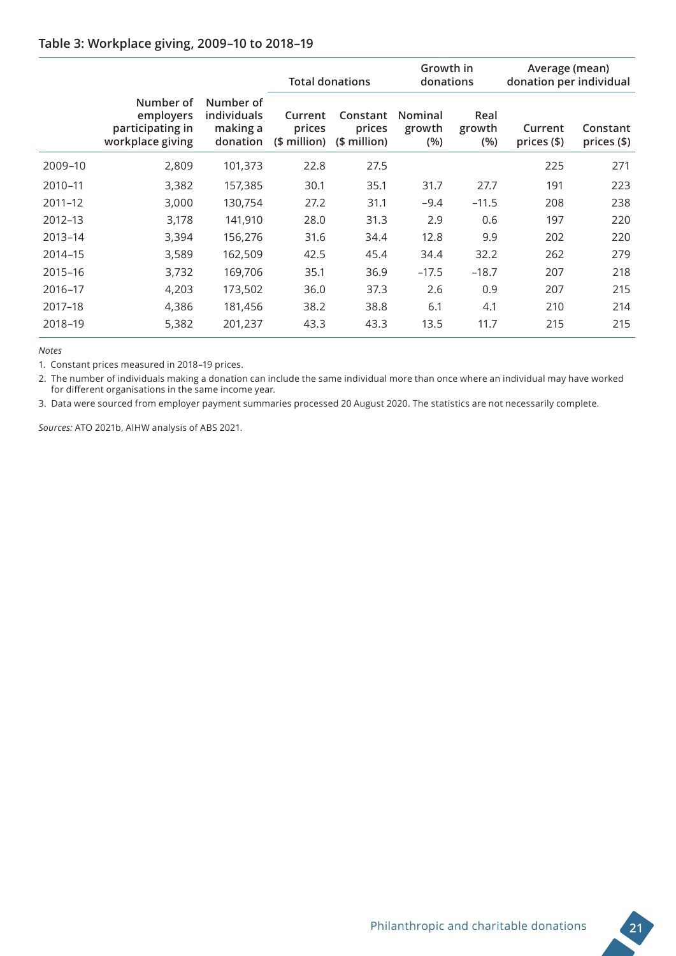#### **Table 3: Workplace giving, 2009–10 to 2018–19**

|             |                                                                |                                                  | <b>Total donations</b>            |                                    | Growth in<br>donations          |                       | Average (mean)<br>donation per individual |                         |
|-------------|----------------------------------------------------------------|--------------------------------------------------|-----------------------------------|------------------------------------|---------------------------------|-----------------------|-------------------------------------------|-------------------------|
|             | Number of<br>employers<br>participating in<br>workplace giving | Number of<br>individuals<br>making a<br>donation | Current<br>prices<br>$$$ million) | Constant<br>prices<br>$$$ million) | <b>Nominal</b><br>growth<br>(%) | Real<br>growth<br>(%) | Current<br>prices $(\$)$                  | Constant<br>prices (\$) |
| 2009-10     | 2,809                                                          | 101,373                                          | 22.8                              | 27.5                               |                                 |                       | 225                                       | 271                     |
| 2010-11     | 3,382                                                          | 157,385                                          | 30.1                              | 35.1                               | 31.7                            | 27.7                  | 191                                       | 223                     |
| $2011 - 12$ | 3,000                                                          | 130,754                                          | 27.2                              | 31.1                               | $-9.4$                          | $-11.5$               | 208                                       | 238                     |
| 2012-13     | 3,178                                                          | 141,910                                          | 28.0                              | 31.3                               | 2.9                             | 0.6                   | 197                                       | 220                     |
| $2013 - 14$ | 3,394                                                          | 156,276                                          | 31.6                              | 34.4                               | 12.8                            | 9.9                   | 202                                       | 220                     |
| 2014-15     | 3,589                                                          | 162,509                                          | 42.5                              | 45.4                               | 34.4                            | 32.2                  | 262                                       | 279                     |
| 2015-16     | 3,732                                                          | 169,706                                          | 35.1                              | 36.9                               | $-17.5$                         | $-18.7$               | 207                                       | 218                     |
| 2016-17     | 4,203                                                          | 173,502                                          | 36.0                              | 37.3                               | 2.6                             | 0.9                   | 207                                       | 215                     |
| 2017-18     | 4,386                                                          | 181,456                                          | 38.2                              | 38.8                               | 6.1                             | 4.1                   | 210                                       | 214                     |
| 2018-19     | 5,382                                                          | 201,237                                          | 43.3                              | 43.3                               | 13.5                            | 11.7                  | 215                                       | 215                     |

*Notes*

1. Constant prices measured in 2018–19 prices.

2. The number of individuals making a donation can include the same individual more than once where an individual may have worked for different organisations in the same income year.

3. Data were sourced from employer payment summaries processed 20 August 2020. The statistics are not necessarily complete.

*Sources:* ATO 2021b, AIHW analysis of ABS 2021.

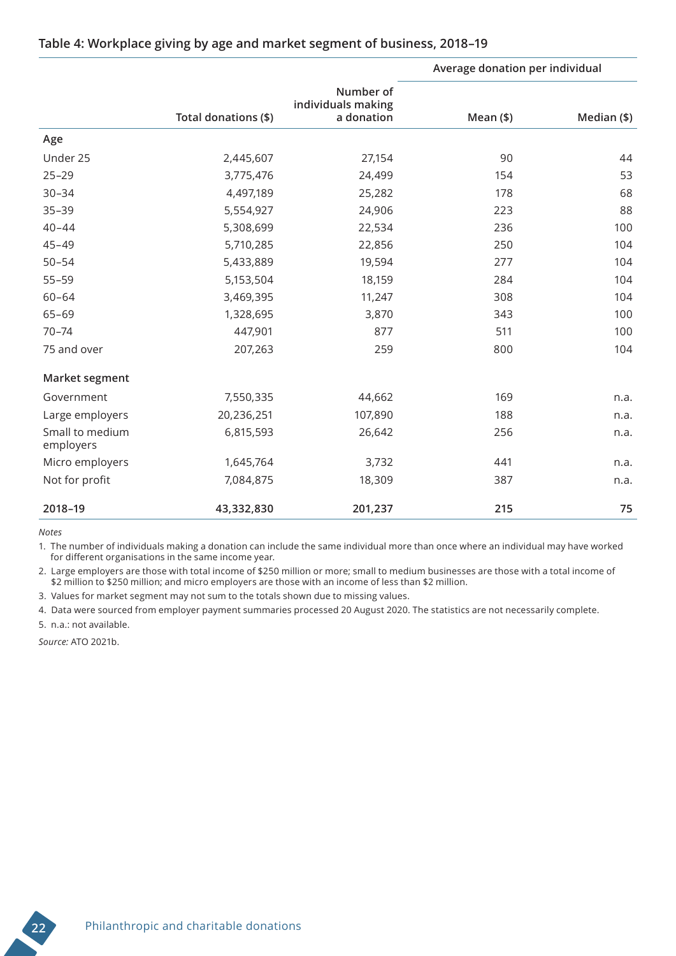|                              |                      |                                               | Average donation per individual |             |
|------------------------------|----------------------|-----------------------------------------------|---------------------------------|-------------|
|                              | Total donations (\$) | Number of<br>individuals making<br>a donation | $Mean($ \$)                     | Median (\$) |
| Age                          |                      |                                               |                                 |             |
| Under 25                     | 2,445,607            | 27,154                                        | 90                              | 44          |
| $25 - 29$                    | 3,775,476            | 24,499                                        | 154                             | 53          |
| $30 - 34$                    | 4,497,189            | 25,282                                        | 178                             | 68          |
| $35 - 39$                    | 5,554,927            | 24,906                                        | 223                             | 88          |
| $40 - 44$                    | 5,308,699            | 22,534                                        | 236                             | 100         |
| $45 - 49$                    | 5,710,285            | 22,856                                        | 250                             | 104         |
| $50 - 54$                    | 5,433,889            | 19,594                                        | 277                             | 104         |
| $55 - 59$                    | 5,153,504            | 18,159                                        | 284                             | 104         |
| $60 - 64$                    | 3,469,395            | 11,247                                        | 308                             | 104         |
| $65 - 69$                    | 1,328,695            | 3,870                                         | 343                             | 100         |
| $70 - 74$                    | 447,901              | 877                                           | 511                             | 100         |
| 75 and over                  | 207,263              | 259                                           | 800                             | 104         |
| Market segment               |                      |                                               |                                 |             |
| Government                   | 7,550,335            | 44,662                                        | 169                             | n.a.        |
| Large employers              | 20,236,251           | 107,890                                       | 188                             | n.a.        |
| Small to medium<br>employers | 6,815,593            | 26,642                                        | 256                             | n.a.        |
| Micro employers              | 1,645,764            | 3,732                                         | 441                             | n.a.        |
| Not for profit               | 7,084,875            | 18,309                                        | 387                             | n.a.        |
| 2018-19                      | 43,332,830           | 201,237                                       | 215                             | 75          |

#### **Table 4: Workplace giving by age and market segment of business, 2018–19**

*Notes*

1. The number of individuals making a donation can include the same individual more than once where an individual may have worked for different organisations in the same income year.

2. Large employers are those with total income of \$250 million or more; small to medium businesses are those with a total income of \$2 million to \$250 million; and micro employers are those with an income of less than \$2 million.

3. Values for market segment may not sum to the totals shown due to missing values.

4. Data were sourced from employer payment summaries processed 20 August 2020. The statistics are not necessarily complete.

5. n.a.: not available.

*Source:* ATO 2021b.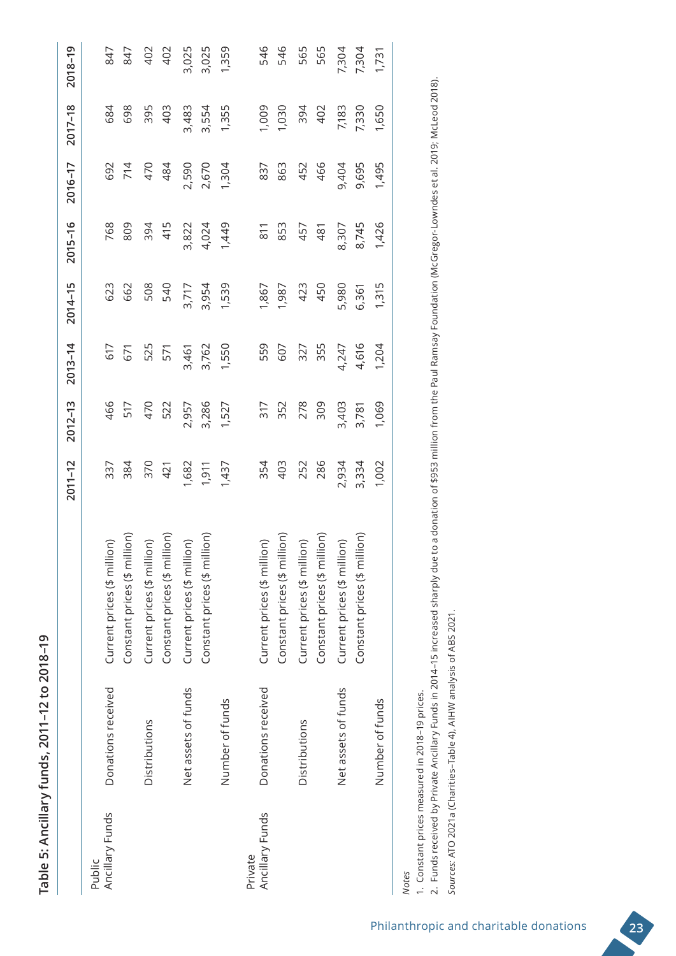| $\frac{1}{2}$<br>ļ |
|--------------------|
|                    |
|                    |
| てんへん<br>.<br>)<br> |
| į                  |
| ١                  |
| Ú<br>$\frac{a}{b}$ |

|                 |                     |                                                                                                                                                                                           | $2011 - 12$              | $2012 - 13$              | $2013 - 14$              | $2014 - 15$ | $2015 - 16$              | $2016 - 17$              | $2017 - 18$    | 2018-19                 |
|-----------------|---------------------|-------------------------------------------------------------------------------------------------------------------------------------------------------------------------------------------|--------------------------|--------------------------|--------------------------|-------------|--------------------------|--------------------------|----------------|-------------------------|
| Public          |                     |                                                                                                                                                                                           |                          |                          |                          |             |                          |                          |                |                         |
| Ancillary Funds | Donations received  |                                                                                                                                                                                           |                          |                          |                          |             |                          |                          | 684            |                         |
|                 |                     | Current prices (\$ million)<br>Constant prices (\$ million)<br>Current prices (\$ million)<br>Constant prices (\$ million)<br>Current prices (\$ million)<br>Constant prices (\$ million) | 337<br>384<br>370<br>421 | 466<br>517<br>470<br>522 | 671<br>671               | 623<br>662  | 768<br>809               | 692<br>714<br>470<br>484 | 698            | 847<br>847              |
|                 | Distributions       |                                                                                                                                                                                           |                          |                          | 525<br>571               | 508<br>540  | 394                      |                          | 395            |                         |
|                 |                     |                                                                                                                                                                                           |                          |                          |                          |             | 415                      |                          | 403            | 402<br>402              |
|                 | Net assets of funds |                                                                                                                                                                                           | 1,682                    | 2,957                    | 3,461                    | 3,717       | 3,822                    | 2,590                    | 3,483          | 3,025                   |
|                 |                     |                                                                                                                                                                                           |                          | 3,286                    | 3,762                    | 3,954       | 4,024                    | 2,670                    | 3,554          | 3,025                   |
|                 | Number of funds     |                                                                                                                                                                                           | 1,911<br>1,437           | 1,527                    | 1,550                    | 1,539       | 1,449                    | 1,304                    | 1,355          | 1,359                   |
| Private         |                     |                                                                                                                                                                                           |                          |                          |                          |             |                          |                          |                |                         |
| Ancillary Funds | Donations received  |                                                                                                                                                                                           |                          |                          |                          | 1,867       |                          |                          |                |                         |
|                 |                     |                                                                                                                                                                                           | 354<br>403<br>252<br>286 | 317<br>352<br>278<br>309 | 559<br>607<br>327<br>355 | 1,987       | 811<br>853<br>457<br>481 | 837<br>863<br>454<br>466 | 1,009<br>1,030 | 546<br>546              |
|                 | Distributions       |                                                                                                                                                                                           |                          |                          |                          | 423<br>450  |                          |                          |                |                         |
|                 |                     | Current prices (\$ million)<br>Constant prices (\$ million)<br>Current prices (\$ million)<br>Constant prices (\$ million)<br>Current prices (\$ million)                                 |                          |                          |                          |             |                          |                          | 394<br>402     | 565<br>565              |
|                 | Net assets of funds |                                                                                                                                                                                           | 2,934                    | 3,403                    | 4,247                    | 5,980       | 8,307                    | 9,404                    | 7,183          |                         |
|                 |                     |                                                                                                                                                                                           | 3,334                    | 3,781                    | 4,616                    | 6,361       | 8,745                    | 9,695                    | 7,330          |                         |
|                 | Number of funds     |                                                                                                                                                                                           | 1,002                    | 1,069                    | 1,204                    | 1,315       | 1,426                    | 1,495                    | 1,650          | 7,304<br>7,304<br>1,731 |
| <b>Notes</b>    |                     |                                                                                                                                                                                           |                          |                          |                          |             |                          |                          |                |                         |

1. Constant prices measured in 2018-19 prices. 1. Constant prices measured in 2018–19 prices.

2. Funds received by Private Ancillary Funds in 2014-15 increased sharply due to a donation of \$953 million from the Paul Ramsay Foundation (McGregor-Lowndes et al. 2019; McLeod 2018). 2. Funds received by Private Ancillary Funds in 2014–15 increased sharply due to a donation of \$953 million from the Paul Ramsay Foundation (McGregor-Lowndes et al. 2019; McLeod 2018). Sources: ATO 2021a (Charities-Table 4), AIHW analysis of ABS 2021. *Sources:* ATO 2021a (Charities–Table 4), AIHW analysis of ABS 2021.

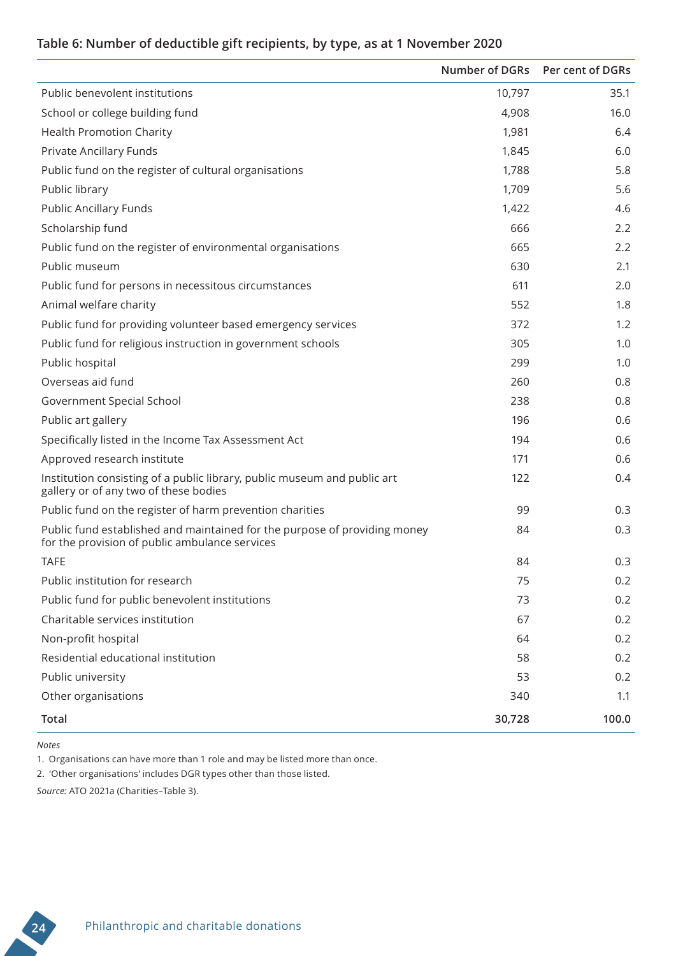## **Table 6: Number of deductible gift recipients, by type, as at 1 November 2020**

|                                                                                                                             |        | Number of DGRs Per cent of DGRs |
|-----------------------------------------------------------------------------------------------------------------------------|--------|---------------------------------|
| Public benevolent institutions                                                                                              | 10,797 | 35.1                            |
| School or college building fund                                                                                             | 4,908  | 16.0                            |
| <b>Health Promotion Charity</b>                                                                                             | 1,981  | 6.4                             |
| Private Ancillary Funds                                                                                                     | 1,845  | 6.0                             |
| Public fund on the register of cultural organisations                                                                       | 1,788  | 5.8                             |
| Public library                                                                                                              | 1,709  | 5.6                             |
| <b>Public Ancillary Funds</b>                                                                                               | 1,422  | 4.6                             |
| Scholarship fund                                                                                                            | 666    | 2.2                             |
| Public fund on the register of environmental organisations                                                                  | 665    | 2.2                             |
| Public museum                                                                                                               | 630    | 2.1                             |
| Public fund for persons in necessitous circumstances                                                                        | 611    | 2.0                             |
| Animal welfare charity                                                                                                      | 552    | 1.8                             |
| Public fund for providing volunteer based emergency services                                                                | 372    | 1.2                             |
| Public fund for religious instruction in government schools                                                                 | 305    | 1.0                             |
| Public hospital                                                                                                             | 299    | 1.0                             |
| Overseas aid fund                                                                                                           | 260    | 0.8                             |
| Government Special School                                                                                                   | 238    | 0.8                             |
| Public art gallery                                                                                                          | 196    | 0.6                             |
| Specifically listed in the Income Tax Assessment Act                                                                        | 194    | 0.6                             |
| Approved research institute                                                                                                 | 171    | 0.6                             |
| Institution consisting of a public library, public museum and public art<br>gallery or of any two of these bodies           | 122    | 0.4                             |
| Public fund on the register of harm prevention charities                                                                    | 99     | 0.3                             |
| Public fund established and maintained for the purpose of providing money<br>for the provision of public ambulance services | 84     | 0.3                             |
| <b>TAFE</b>                                                                                                                 | 84     | 0.3                             |
| Public institution for research                                                                                             | 75     | 0.2                             |
| Public fund for public benevolent institutions                                                                              | 73     | 0.2                             |
| Charitable services institution                                                                                             | 67     | 0.2                             |
| Non-profit hospital                                                                                                         | 64     | 0.2                             |
| Residential educational institution                                                                                         | 58     | 0.2                             |
| Public university                                                                                                           | 53     | 0.2                             |
| Other organisations                                                                                                         | 340    | 1.1                             |
| <b>Total</b>                                                                                                                | 30,728 | 100.0                           |

*Notes*

1. Organisations can have more than 1 role and may be listed more than once.

2. 'Other organisations' includes DGR types other than those listed.

*Source:* ATO 2021a (Charities–Table 3).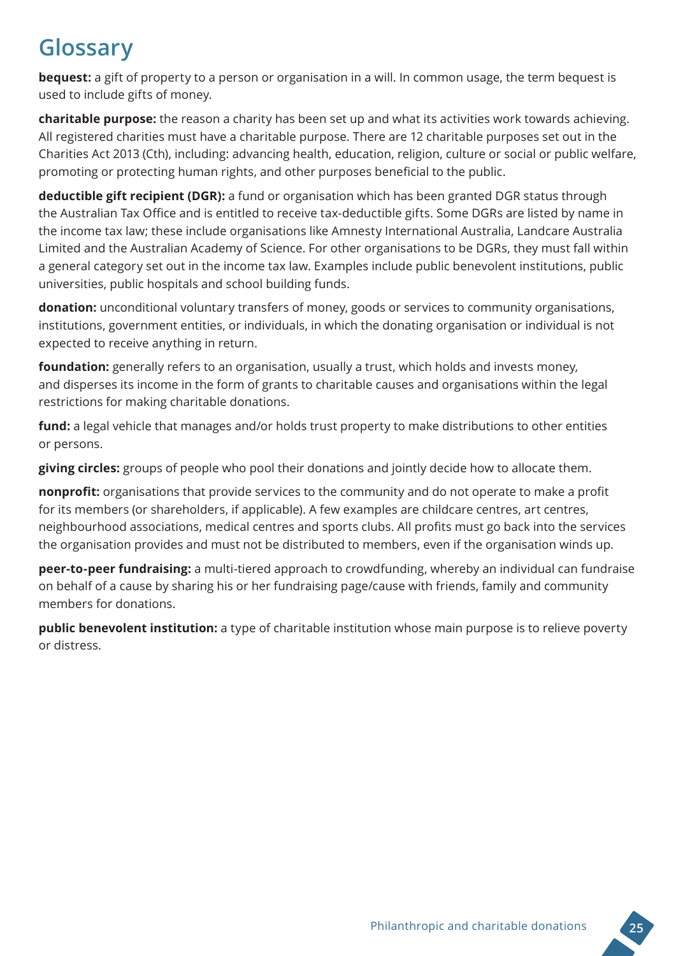# **Glossary**

**bequest:** a gift of property to a person or organisation in a will. In common usage, the term bequest is used to include gifts of money.

**charitable purpose:** the reason a charity has been set up and what its activities work towards achieving. All registered charities must have a charitable purpose. There are 12 charitable purposes set out in the Charities Act 2013 (Cth), including: advancing health, education, religion, culture or social or public welfare, promoting or protecting human rights, and other purposes beneficial to the public.

**deductible gift recipient (DGR):** a fund or organisation which has been granted DGR status through the Australian Tax Office and is entitled to receive tax-deductible gifts. Some DGRs are listed by name in the income tax law; these include organisations like Amnesty International Australia, Landcare Australia Limited and the Australian Academy of Science. For other organisations to be DGRs, they must fall within a general category set out in the income tax law. Examples include public benevolent institutions, public universities, public hospitals and school building funds.

**donation:** unconditional voluntary transfers of money, goods or services to community organisations, institutions, government entities, or individuals, in which the donating organisation or individual is not expected to receive anything in return.

**foundation:** generally refers to an organisation, usually a trust, which holds and invests money, and disperses its income in the form of grants to charitable causes and organisations within the legal restrictions for making charitable donations.

**fund:** a legal vehicle that manages and/or holds trust property to make distributions to other entities or persons.

**giving circles:** groups of people who pool their donations and jointly decide how to allocate them.

**nonprofit:** organisations that provide services to the community and do not operate to make a profit for its members (or shareholders, if applicable). A few examples are childcare centres, art centres, neighbourhood associations, medical centres and sports clubs. All profits must go back into the services the organisation provides and must not be distributed to members, even if the organisation winds up.

**peer-to-peer fundraising:** a multi-tiered approach to crowdfunding, whereby an individual can fundraise on behalf of a cause by sharing his or her fundraising page/cause with friends, family and community members for donations.

**public benevolent institution:** a type of charitable institution whose main purpose is to relieve poverty or distress.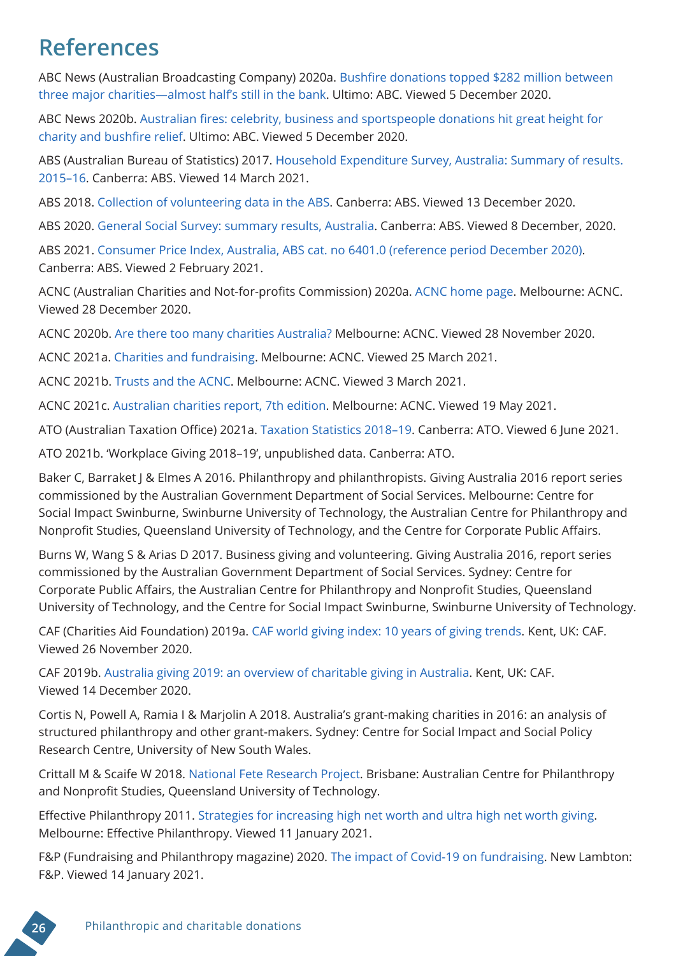## **References**

ABC News (Australian Broadcasting Company) 2020a. [Bushfire donations topped \\$282 million between](https://www.abc.net.au/news/2020-06-09/bushfire-donations-red-cross-unspent-mon%20will%20ey/12332604)  [three major charities—almost half's still in the bank](https://www.abc.net.au/news/2020-06-09/bushfire-donations-red-cross-unspent-mon%20will%20ey/12332604). Ultimo: ABC. Viewed 5 December 2020.

ABC News 2020b. [Australian fires: celebrity, business and sportspeople donations hit great height for](https://www.abc.net.au/news/2020-01-09/australian-bushfires-celebrities-and-businesses-giving-the-most/11855752)  [charity and bushfire relief.](https://www.abc.net.au/news/2020-01-09/australian-bushfires-celebrities-and-businesses-giving-the-most/11855752) Ultimo: ABC. Viewed 5 December 2020.

ABS (Australian Bureau of Statistics) 2017. Household Expenditure Survey, Australia: Summary of results. 2015–16. Canberra: ABS. Viewed 14 March 2021.

ABS 2018. [Collection of volunteering data in the ABS](https://www.abs.gov.au/research/people/people-and-communities/general-social-survey-summary-results-australia/collection-volunteering-data-abs). Canberra: ABS. Viewed 13 December 2020.

ABS 2020. General Social Survey: summary results, Australia. Canberra: ABS. Viewed 8 December, 2020.

ABS 2021. Consumer Price Index, Australia, ABS cat. no 6401.0 (reference period December 2020). Canberra: ABS. Viewed 2 February 2021.

ACNC (Australian Charities and Not-for-profits Commission) 2020a. [ACNC home page](https://www.acnc.gov.au/). Melbourne: ACNC. Viewed 28 December 2020.

ACNC 2020b. Are there too many charities Australia? Melbourne: ACNC. Viewed 28 November 2020.

ACNC 2021a. [Charities and fundraising](https://www.acnc.gov.au/for-public/understanding-charities/charities-and-fundraising). Melbourne: ACNC. Viewed 25 March 2021.

ACNC 2021b. [Trusts and the ACNC](https://www.acnc.gov.au/for-charities/start-charity/before-you-start-charity/charity-subtypes/trusts-and-acnc). Melbourne: ACNC. Viewed 3 March 2021.

ACNC 2021c. [Australian charities report, 7th edition](https://www.acnc.gov.au/tools/reports/australian-charities-report-7th-edition). Melbourne: ACNC. Viewed 19 May 2021.

ATO (Australian Taxation Office) 2021a. [Taxation Statistics 2018–19.](https://data.gov.au/data/dataset/taxation-statistics-2018-19) Canberra: ATO. Viewed 6 June 2021.

ATO 2021b. 'Workplace Giving 2018–19', unpublished data. Canberra: ATO.

Baker C, Barraket J & Elmes A 2016. Philanthropy and philanthropists. Giving Australia 2016 report series commissioned by the Australian Government Department of Social Services. Melbourne: Centre for Social Impact Swinburne, Swinburne University of Technology, the Australian Centre for Philanthropy and Nonprofit Studies, Queensland University of Technology, and the Centre for Corporate Public Affairs.

Burns W, Wang S & Arias D 2017. Business giving and volunteering. Giving Australia 2016, report series commissioned by the Australian Government Department of Social Services. Sydney: Centre for Corporate Public Affairs, the Australian Centre for Philanthropy and Nonprofit Studies, Queensland University of Technology, and the Centre for Social Impact Swinburne, Swinburne University of Technology.

CAF (Charities Aid Foundation) 2019a. [CAF world giving index: 10 years of giving trends](https://www.cafonline.org/docs/default-source/about-us-publications/caf_wgi_10th_edition_report_2712a_web_101019.pdf). Kent, UK: CAF. Viewed 26 November 2020.

CAF 2019b. [Australia giving 2019: an overview of charitable giving in Australia](https://www.cafonline.org/docs/default-source/about-us-publications/caf-australia-giving-report-2019-16master.pdf?sfvrsn=65e49940_2). Kent, UK: CAF. Viewed 14 December 2020.

Cortis N, Powell A, Ramia I & Marjolin A 2018. Australia's grant-making charities in 2016: an analysis of structured philanthropy and other grant-makers. Sydney: Centre for Social Impact and Social Policy Research Centre, University of New South Wales.

Crittall M & Scaife W 2018. [National Fete Research Project](https://research.qut.edu.au/australian-centre-for-philanthropy-and-nonprofit-studies/research/national-fete-research-project/). Brisbane: Australian Centre for Philanthropy and Nonprofit Studies, Queensland University of Technology.

Effective Philanthropy 2011. [Strategies for increasing high net worth and ultra high net worth giving](https://www.philanthropy.org.au/images/site/misc/Tools__Resources/PA-High-Net-Worth-Giving-Report-170211.pdf). Melbourne: Effective Philanthropy. Viewed 11 January 2021.

F&P (Fundraising and Philanthropy magazine) 2020. [The impact of Covid-19 on fundraising](https://www.fpmagazine.com.au/quest-digital-contactless-payments-charity-377191/). New Lambton: F&P. Viewed 14 January 2021.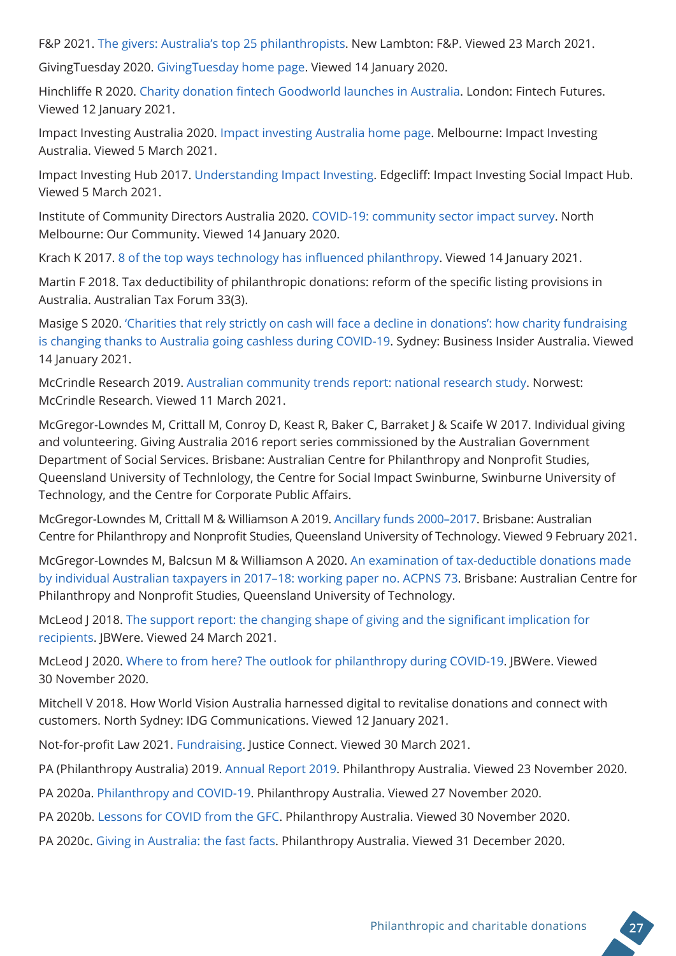F&P 2021. [The givers: Australia's top 25 philanthropists](https://www.fpmagazine.com.au/a-list-of-the-most-generous-givers-in-australia-378547/). New Lambton: F&P. Viewed 23 March 2021.

GivingTuesday 2020. [GivingTuesday home page](https://www.givingtuesday.org/). Viewed 14 January 2020.

Hinchliffe R 2020. [Charity donation fintech Goodworld launches in Australia](https://www.fintechfutures.com/2020/07/charity-donation-fintech-goodworld-launches-in-australia/). London: Fintech Futures. Viewed 12 January 2021.

Impact Investing Australia 2020. [Impact investing Australia home page.](https://impactinvestingaustralia.com/) Melbourne: Impact Investing Australia. Viewed 5 March 2021.

Impact Investing Hub 2017. [Understanding Impact Investing](https://www.impactinvestinghub.com.au/about-impact-investing/understand-impact-investing/). Edgecliff: Impact Investing Social Impact Hub. Viewed 5 March 2021.

Institute of Community Directors Australia 2020. [COVID-19: community sector impact survey.](https://www.ourcommunity.com.au/files/covid-19-communitysurvey.pdf) North Melbourne: Our Community. Viewed 14 January 2020.

Krach K 2017. [8 of the top ways technology has influenced philanthropy.](https://medium.com/@KeithKrach/8-of-the-top-ways-technology-has-influenced-philanthropy-9a30c41f87bb) Viewed 14 January 2021.

Martin F 2018. Tax deductibility of philanthropic donations: reform of the specific listing provisions in Australia. Australian Tax Forum 33(3).

Masige S 2020. ['Charities that rely strictly on cash will face a decline in donations': how charity fundraising](https://www.businessinsider.com.au/fundraising-covid-australia-charity-cash-2020-9)  [is changing thanks to Australia going cashless during COVID-19.](https://www.businessinsider.com.au/fundraising-covid-australia-charity-cash-2020-9) Sydney: Business Insider Australia. Viewed 14 January 2021.

McCrindle Research 2019. [Australian community trends report: national research study.](https://clarety-acf.s3.amazonaws.com/userimages/Resources/ACT_Report_McCrindle_Feb2019.pdf) Norwest: McCrindle Research. Viewed 11 March 2021.

McGregor-Lowndes M, Crittall M, Conroy D, Keast R, Baker C, Barraket J & Scaife W 2017. Individual giving and volunteering. Giving Australia 2016 report series commissioned by the Australian Government Department of Social Services. Brisbane: Australian Centre for Philanthropy and Nonprofit Studies, Queensland University of Technlology, the Centre for Social Impact Swinburne, Swinburne University of Technology, and the Centre for Corporate Public Affairs.

McGregor-Lowndes M, Crittall M & Williamson A 2019. [Ancillary funds 2000–2017.](https://eprints.qut.edu.au/197410/1/2019_2_Ancillary_Funds_Final_1.pdf) Brisbane: Australian Centre for Philanthropy and Nonprofit Studies, Queensland University of Technology. Viewed 9 February 2021.

McGregor-Lowndes M, Balcsun M & Williamson A 2020. [An examination of tax-deductible donations made](https://eprints.qut.edu.au/204319/1/Tax_stats_Working_Paper_2017_18_Final.pdf)  [by individual Australian taxpayers in 2017–18: working paper no. ACPNS 73](https://eprints.qut.edu.au/204319/1/Tax_stats_Working_Paper_2017_18_Final.pdf). Brisbane: Australian Centre for Philanthropy and Nonprofit Studies, Queensland University of Technology.

McLeod J 2018. The support report: the changing shape of giving and the significant implication for [recipients](https://www.jbwere.com.au/content/dam/jbwere/documents/JBWere-Support-Report-2018.pdf). JBWere. Viewed 24 March 2021.

McLeod J 2020. [Where to from here? The outlook for philanthropy during COVID-19](https://www.philanthropy.org.au/images/site/publications/where-to-from-here-the-outlook-for-philanthropy-during-covid-19-pdf.pdf). JBWere. Viewed 30 November 2020.

Mitchell V 2018. [How World Vision Australia harnessed digital to revitalise donations and connect with](https://www.cmo.com.au/article/633381/how-world-vision-australia-harnessed-digital-revitalise-donations-connect-customers/)  [customers](https://www.cmo.com.au/article/633381/how-world-vision-australia-harnessed-digital-revitalise-donations-connect-customers/). North Sydney: IDG Communications. Viewed 12 January 2021.

Not-for-profit Law 2021. [Fundraising](https://nfplaw.org.au/fundraising). Justice Connect. Viewed 30 March 2021.

PA (Philanthropy Australia) 2019. [Annual Report 2019](https://www.philanthropy.org.au/images/site/publications/Philanthropy_Australian_2019_Annual_Report_.pdf). Philanthropy Australia. Viewed 23 November 2020.

PA 2020a. [Philanthropy and COVID-19.](https://www.philanthropy.org.au/tools-resources/philanthropy-and-covid-19/) Philanthropy Australia. Viewed 27 November 2020.

PA 2020b. [Lessons for COVID from the GFC.](https://www.philanthropy.org.au/stories-GFC-and-COVID/) Philanthropy Australia. Viewed 30 November 2020.

PA 2020c. [Giving in Australia: the fast facts](https://www.philanthropy.org.au/tools-resources/fast-facts-and-stats/). Philanthropy Australia. Viewed 31 December 2020.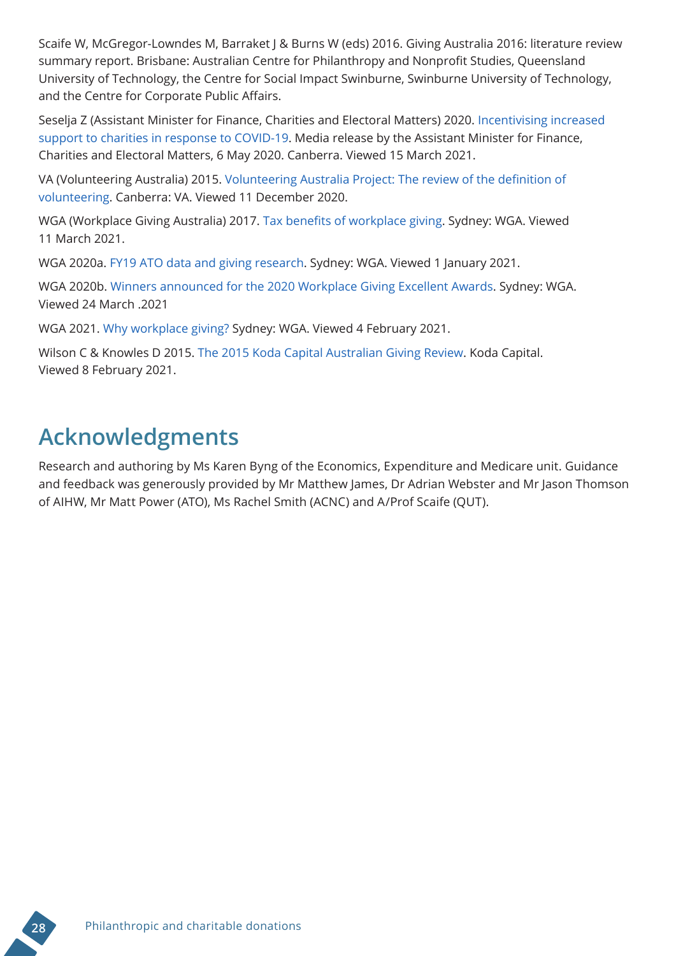Scaife W, McGregor-Lowndes M, Barraket J & Burns W (eds) 2016. Giving Australia 2016: literature review summary report. Brisbane: Australian Centre for Philanthropy and Nonprofit Studies, Queensland University of Technology, the Centre for Social Impact Swinburne, Swinburne University of Technology, and the Centre for Corporate Public Affairs.

Seselja Z (Assistant Minister for Finance, Charities and Electoral Matters) 2020. [Incentivising increased](https://www.financeminister.gov.au/assistant/media-release/2020/05/06/incentivising-increased-support-charities-response-covid-19)  [support to charities in response to COVID-19](https://www.financeminister.gov.au/assistant/media-release/2020/05/06/incentivising-increased-support-charities-response-covid-19). Media release by the Assistant Minister for Finance, Charities and Electoral Matters, 6 May 2020. Canberra. Viewed 15 March 2021.

VA (Volunteering Australia) 2015. [Volunteering Australia Project: The review of the definition of](https://www.volunteeringaustralia.org/wp-content/uploads/Definition-of-Volunteering-27-July-20151.pdf)  [volunteering](https://www.volunteeringaustralia.org/wp-content/uploads/Definition-of-Volunteering-27-July-20151.pdf). Canberra: VA. Viewed 11 December 2020.

WGA (Workplace Giving Australia) 2017. [Tax benefits of workplace giving](https://www.1mdonors.org.au/app/uploads/2017/04/180501_Tax-Benefits-of-Workplace-Giving-Illustrated.pdf). Sydney: WGA. Viewed 11 March 2021.

WGA 2020a. [FY19 ATO data and giving research.](https://library.workplacegivingaustralia.org.au/fy19-ato-data-and-giving-research/) Sydney: WGA. Viewed 1 January 2021.

WGA 2020b. [Winners announced for the 2020 Workplace Giving Excellent Awards](https://www.1mdonors.org.au/winners-2020-wpg-awards/). Sydney: WGA. Viewed 24 March .2021

WGA 2021. [Why workplace giving?](https://workplacegivingaustralia.org.au/get-involved/why-workplace-giving/) Sydney: WGA. Viewed 4 February 2021.

Wilson C & Knowles D 2015. [The 2015 Koda Capital Australian Giving Review](https://kodacapital.com/wp-content/uploads/the-2015-koda-capital-australian-giving-review.pdf). Koda Capital. Viewed 8 February 2021.

# **Acknowledgments**

Research and authoring by Ms Karen Byng of the Economics, Expenditure and Medicare unit. Guidance and feedback was generously provided by Mr Matthew James, Dr Adrian Webster and Mr Jason Thomson of AIHW, Mr Matt Power (ATO), Ms Rachel Smith (ACNC) and A/Prof Scaife (QUT).